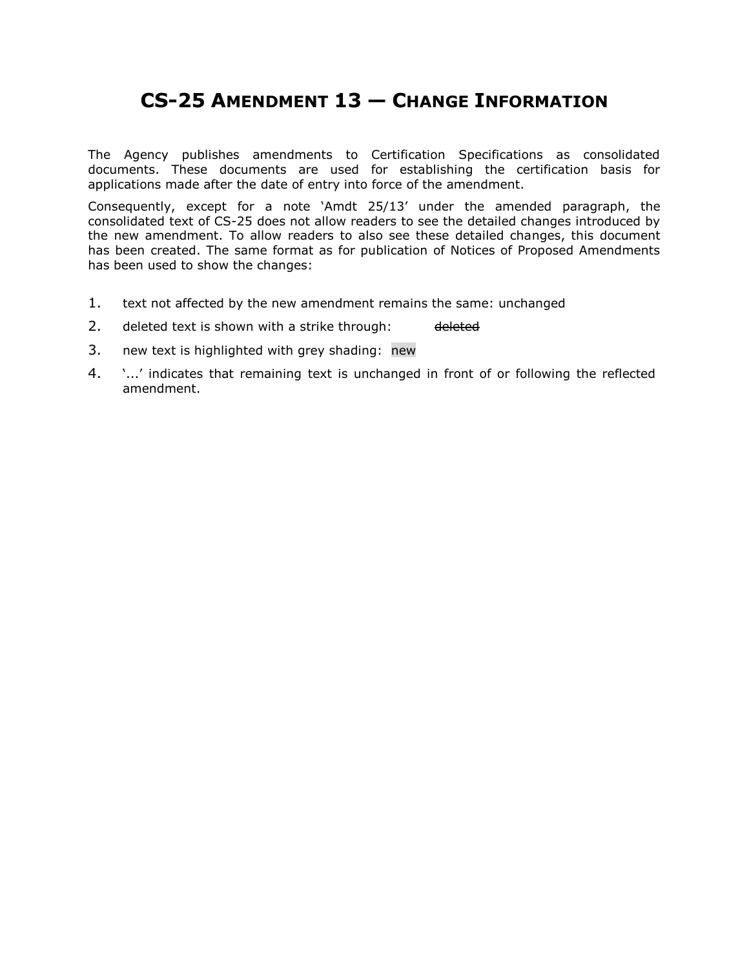# **CS-25 AMENDMENT 13 — CHANGE INFORMATION**

The Agency publishes amendments to Certification Specifications as consolidated documents. These documents are used for establishing the certification basis for applications made after the date of entry into force of the amendment.

Consequently, except for a note 'Amdt 25/13' under the amended paragraph, the consolidated text of CS-25 does not allow readers to see the detailed changes introduced by the new amendment. To allow readers to also see these detailed changes, this document has been created. The same format as for publication of Notices of Proposed Amendments has been used to show the changes:

- 1. text not affected by the new amendment remains the same: unchanged
- 2. deleted text is shown with a strike through: deleted
- 3. new text is highlighted with grey shading: new
- 4. '...' indicates that remaining text is unchanged in front of or following the reflected amendment.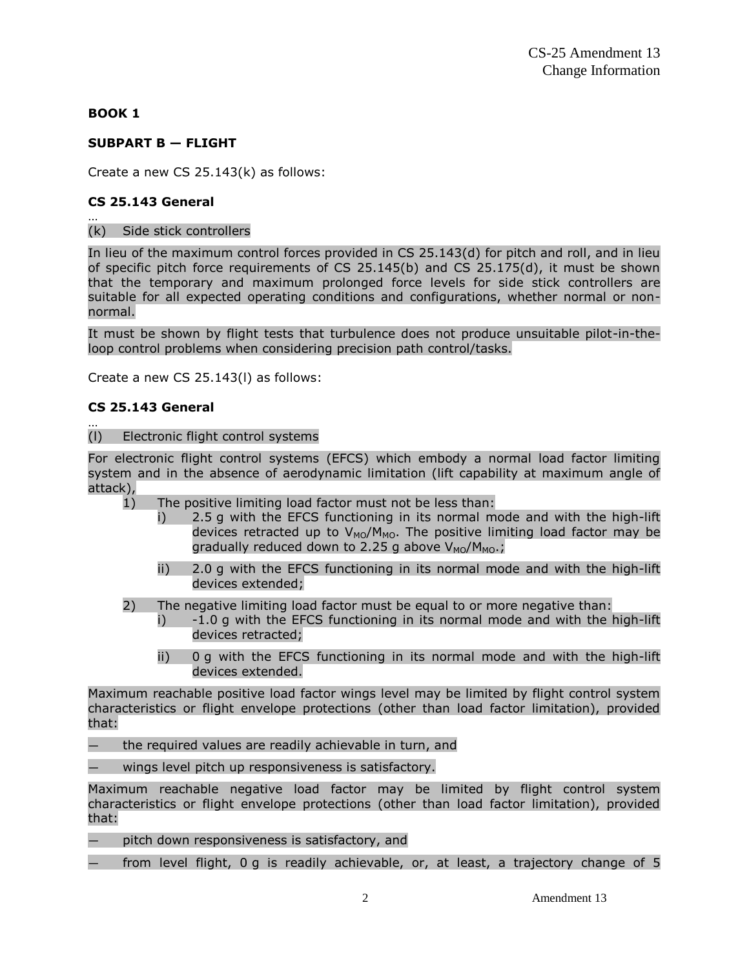## **BOOK 1**

## **SUBPART B — FLIGHT**

Create a new CS 25.143(k) as follows:

## **CS 25.143 General**

#### … (k) Side stick controllers

In lieu of the maximum control forces provided in CS 25.143(d) for pitch and roll, and in lieu of specific pitch force requirements of CS 25.145(b) and CS 25.175(d), it must be shown that the temporary and maximum prolonged force levels for side stick controllers are suitable for all expected operating conditions and configurations, whether normal or nonnormal.

It must be shown by flight tests that turbulence does not produce unsuitable pilot-in-theloop control problems when considering precision path control/tasks.

Create a new CS 25.143(l) as follows:

## **CS 25.143 General**

…

#### (l) Electronic flight control systems

For electronic flight control systems (EFCS) which embody a normal load factor limiting system and in the absence of aerodynamic limitation (lift capability at maximum angle of attack),

- 1) The positive limiting load factor must not be less than:
	- i) 2.5 g with the EFCS functioning in its normal mode and with the high-lift devices retracted up to  $V_{MO}/M_{MO}$ . The positive limiting load factor may be gradually reduced down to 2.25 g above  $V_{MO}/M_{MO}$ ;
	- ii) 2.0 g with the EFCS functioning in its normal mode and with the high-lift devices extended;
- 2) The negative limiting load factor must be equal to or more negative than:
	- $i$ )  $-1.0$  g with the EFCS functioning in its normal mode and with the high-lift devices retracted;
	- ii) 0 g with the EFCS functioning in its normal mode and with the high-lift devices extended.

Maximum reachable positive load factor wings level may be limited by flight control system characteristics or flight envelope protections (other than load factor limitation), provided that:

- the required values are readily achievable in turn, and
- wings level pitch up responsiveness is satisfactory.

Maximum reachable negative load factor may be limited by flight control system characteristics or flight envelope protections (other than load factor limitation), provided that:

- pitch down responsiveness is satisfactory, and
- from level flight, 0 g is readily achievable, or, at least, a trajectory change of 5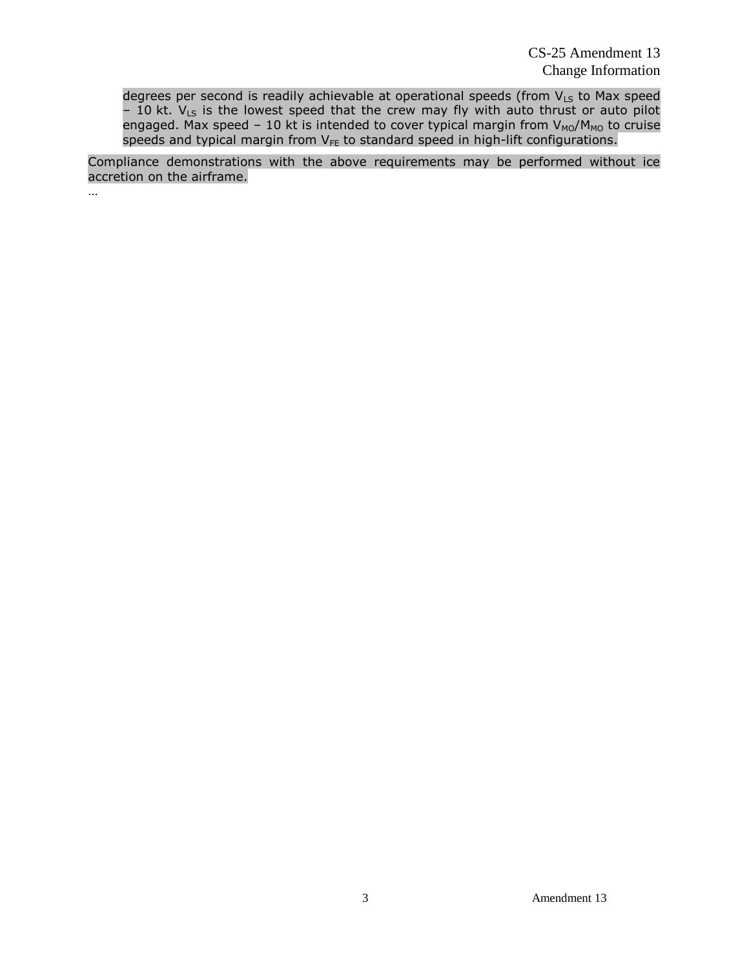degrees per second is readily achievable at operational speeds (from  $V_{LS}$  to Max speed – 10 kt.  $V_{LS}$  is the lowest speed that the crew may fly with auto thrust or auto pilot engaged. Max speed – 10 kt is intended to cover typical margin from  $V_{MO}/M_{MO}$  to cruise speeds and typical margin from V<sub>FE</sub> to standard speed in high-lift configurations.

Compliance demonstrations with the above requirements may be performed without ice accretion on the airframe.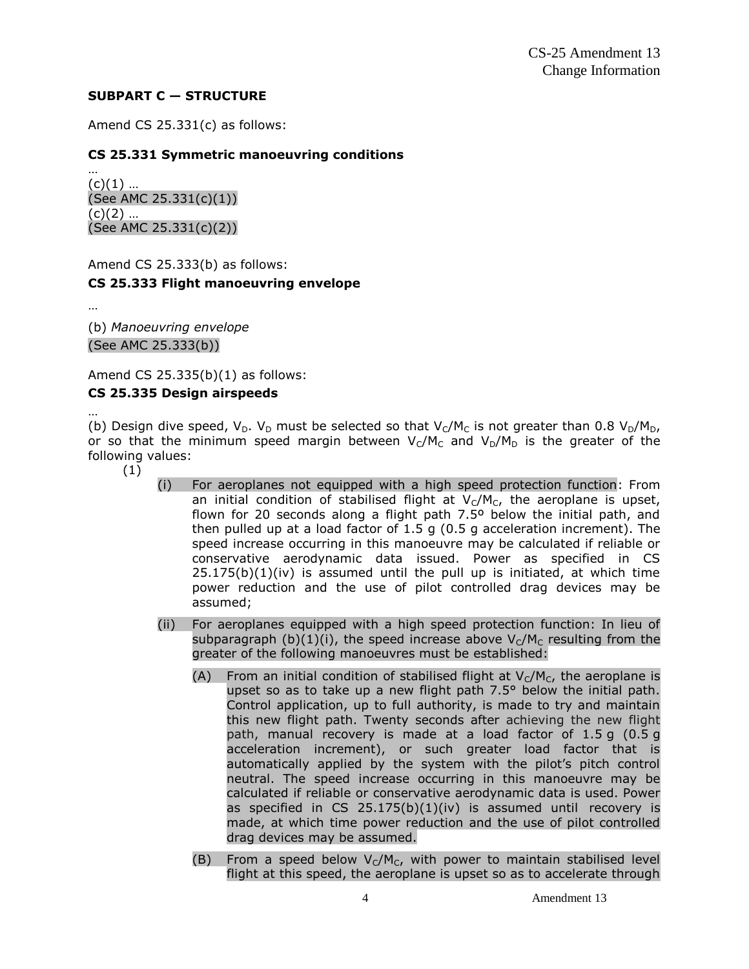## **SUBPART C — STRUCTURE**

Amend CS 25.331(c) as follows:

## **CS 25.331 Symmetric manoeuvring conditions**

…  $(c)(1)$  ... (See AMC 25.331(c)(1))  $(c)(2)$  ... (See AMC 25.331(c)(2))

Amend CS 25.333(b) as follows: **CS 25.333 Flight manoeuvring envelope**

…

(b) *Manoeuvring envelope* (See AMC 25.333(b))

Amend CS 25.335(b)(1) as follows:

## **CS 25.335 Design airspeeds**

… (b) Design dive speed,  $V_D$ .  $V_D$  must be selected so that  $V_C/M_C$  is not greater than 0.8  $V_D/M_D$ , or so that the minimum speed margin between  $V_C/M_C$  and  $V_D/M_D$  is the greater of the following values:

- (1)
- (i) For aeroplanes not equipped with a high speed protection function: From an initial condition of stabilised flight at  $V_c/M_c$ , the aeroplane is upset, flown for 20 seconds along a flight path 7.5º below the initial path, and then pulled up at a load factor of 1.5 g (0.5 g acceleration increment). The speed increase occurring in this manoeuvre may be calculated if reliable or conservative aerodynamic data issued. Power as specified in CS  $25.175(b)(1)(iv)$  is assumed until the pull up is initiated, at which time power reduction and the use of pilot controlled drag devices may be assumed;
- (ii) For aeroplanes equipped with a high speed protection function: In lieu of subparagraph (b)(1)(i), the speed increase above  $V_c/M_c$  resulting from the greater of the following manoeuvres must be established:
	- (A) From an initial condition of stabilised flight at  $V_C/M_C$ , the aeroplane is upset so as to take up a new flight path 7.5° below the initial path. Control application, up to full authority, is made to try and maintain this new flight path. Twenty seconds after achieving the new flight path, manual recovery is made at a load factor of 1.5 g (0.5 g acceleration increment), or such greater load factor that is automatically applied by the system with the pilot's pitch control neutral. The speed increase occurring in this manoeuvre may be calculated if reliable or conservative aerodynamic data is used. Power as specified in CS 25.175(b)(1)(iv) is assumed until recovery is made, at which time power reduction and the use of pilot controlled drag devices may be assumed.
	- (B) From a speed below  $V_C/M_C$ , with power to maintain stabilised level flight at this speed, the aeroplane is upset so as to accelerate through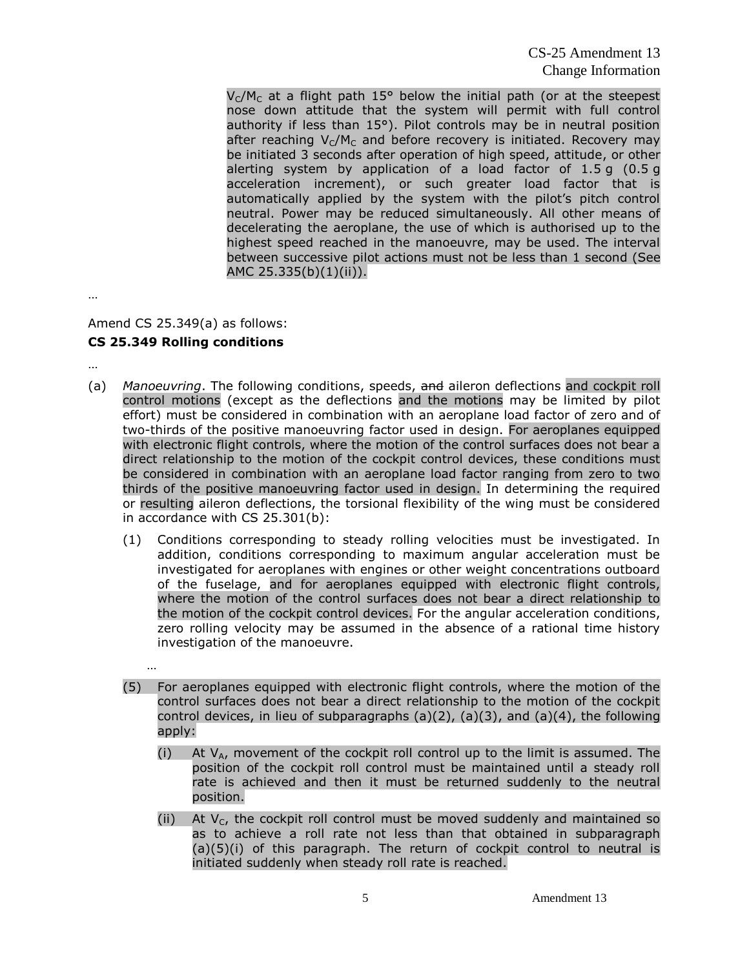CS-25 Amendment 13 Change Information

 $V_c/M_c$  at a flight path 15° below the initial path (or at the steepest nose down attitude that the system will permit with full control authority if less than 15°). Pilot controls may be in neutral position after reaching  $V_C/M_C$  and before recovery is initiated. Recovery may be initiated 3 seconds after operation of high speed, attitude, or other alerting system by application of a load factor of 1.5 g (0.5 g acceleration increment), or such greater load factor that is automatically applied by the system with the pilot's pitch control neutral. Power may be reduced simultaneously. All other means of decelerating the aeroplane, the use of which is authorised up to the highest speed reached in the manoeuvre, may be used. The interval between successive pilot actions must not be less than 1 second (See AMC 25.335(b)(1)(ii)).

…

## Amend CS 25.349(a) as follows: **CS 25.349 Rolling conditions**

…

- (a) *Manoeuvring*. The following conditions, speeds, and aileron deflections and cockpit roll control motions (except as the deflections and the motions may be limited by pilot effort) must be considered in combination with an aeroplane load factor of zero and of two-thirds of the positive manoeuvring factor used in design. For aeroplanes equipped with electronic flight controls, where the motion of the control surfaces does not bear a direct relationship to the motion of the cockpit control devices, these conditions must be considered in combination with an aeroplane load factor ranging from zero to two thirds of the positive manoeuvring factor used in design. In determining the required or resulting aileron deflections, the torsional flexibility of the wing must be considered in accordance with CS 25.301(b):
	- (1) Conditions corresponding to steady rolling velocities must be investigated. In addition, conditions corresponding to maximum angular acceleration must be investigated for aeroplanes with engines or other weight concentrations outboard of the fuselage, and for aeroplanes equipped with electronic flight controls, where the motion of the control surfaces does not bear a direct relationship to the motion of the cockpit control devices. For the angular acceleration conditions, zero rolling velocity may be assumed in the absence of a rational time history investigation of the manoeuvre.
	- (5) For aeroplanes equipped with electronic flight controls, where the motion of the control surfaces does not bear a direct relationship to the motion of the cockpit control devices, in lieu of subparagraphs  $(a)(2)$ ,  $(a)(3)$ , and  $(a)(4)$ , the following apply:
		- (i) At  $V_A$ , movement of the cockpit roll control up to the limit is assumed. The position of the cockpit roll control must be maintained until a steady roll rate is achieved and then it must be returned suddenly to the neutral position.
		- (ii) At  $V_c$ , the cockpit roll control must be moved suddenly and maintained so as to achieve a roll rate not less than that obtained in subparagraph (a)(5)(i) of this paragraph. The return of cockpit control to neutral is initiated suddenly when steady roll rate is reached.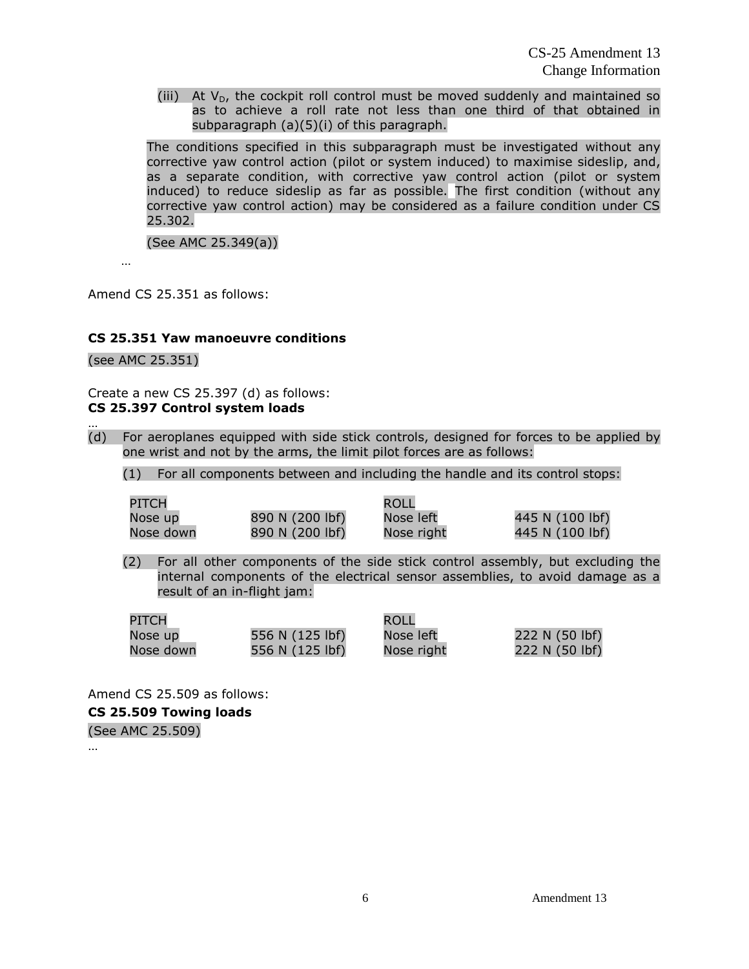CS-25 Amendment 13 Change Information

(iii) At  $V_D$ , the cockpit roll control must be moved suddenly and maintained so as to achieve a roll rate not less than one third of that obtained in subparagraph (a)(5)(i) of this paragraph.

The conditions specified in this subparagraph must be investigated without any corrective yaw control action (pilot or system induced) to maximise sideslip, and, as a separate condition, with corrective yaw control action (pilot or system induced) to reduce sideslip as far as possible. The first condition (without any corrective yaw control action) may be considered as a failure condition under CS 25.302.

(See AMC 25.349(a))

Amend CS 25.351 as follows:

#### **CS 25.351 Yaw manoeuvre conditions**

(see AMC 25.351)

…

…

Create a new CS 25.397 (d) as follows: **CS 25.397 Control system loads**

(d) For aeroplanes equipped with side stick controls, designed for forces to be applied by one wrist and not by the arms, the limit pilot forces are as follows:

(1) For all components between and including the handle and its control stops:

| PITCH     |                 | ROLL       |                 |
|-----------|-----------------|------------|-----------------|
| Nose up   | 890 N (200 lbf) | Nose left  | 445 N (100 lbf) |
| Nose down | 890 N (200 lbf) | Nose right | 445 N (100 lbf) |

(2) For all other components of the side stick control assembly, but excluding the internal components of the electrical sensor assemblies, to avoid damage as a result of an in-flight jam:

| PITCH     |                 | ROLL       |                |
|-----------|-----------------|------------|----------------|
| Nose up   | 556 N (125 lbf) | Nose left  | 222 N (50 lbf) |
| Nose down | 556 N (125 lbf) | Nose right | 222 N (50 lbf) |

Amend CS 25.509 as follows:

**CS 25.509 Towing loads**

(See AMC 25.509)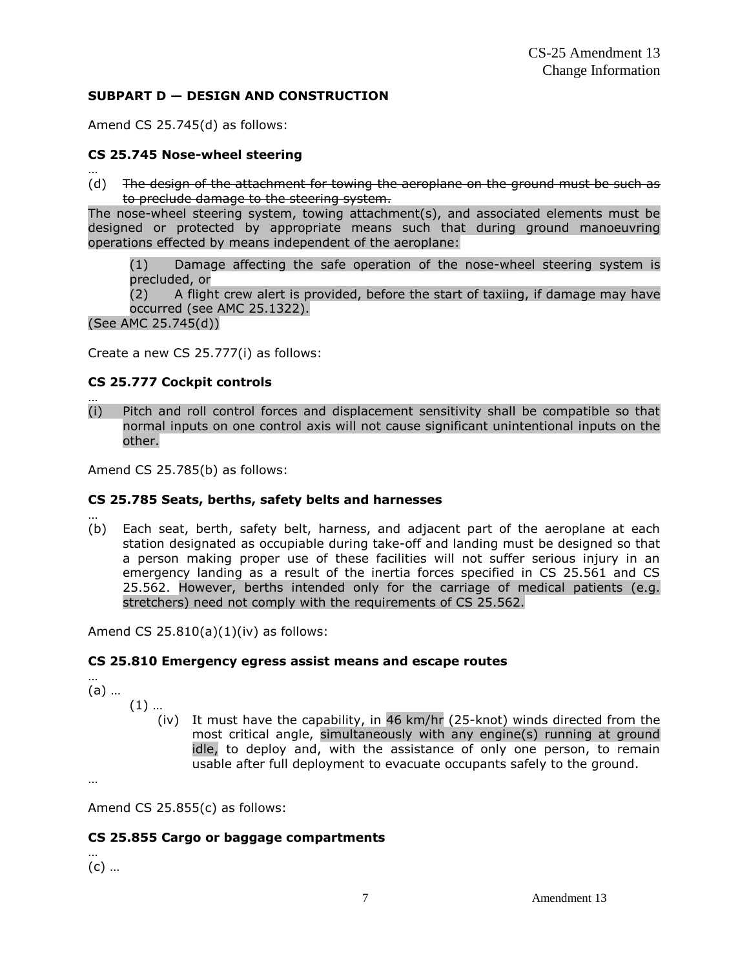## **SUBPART D — DESIGN AND CONSTRUCTION**

Amend CS 25.745(d) as follows:

## **CS 25.745 Nose-wheel steering**

… (d) The design of the attachment for towing the aeroplane on the ground must be such as to preclude damage to the steering system.

The nose-wheel steering system, towing attachment(s), and associated elements must be designed or protected by appropriate means such that during ground manoeuvring operations effected by means independent of the aeroplane:

(1) Damage affecting the safe operation of the nose-wheel steering system is precluded, or

(2) A flight crew alert is provided, before the start of taxiing, if damage may have occurred (see AMC 25.1322).

(See AMC 25.745(d))

Create a new CS 25.777(i) as follows:

## **CS 25.777 Cockpit controls**

… (i) Pitch and roll control forces and displacement sensitivity shall be compatible so that normal inputs on one control axis will not cause significant unintentional inputs on the other.

Amend CS 25.785(b) as follows:

## **CS 25.785 Seats, berths, safety belts and harnesses**

… (b) Each seat, berth, safety belt, harness, and adjacent part of the aeroplane at each station designated as occupiable during take-off and landing must be designed so that a person making proper use of these facilities will not suffer serious injury in an emergency landing as a result of the inertia forces specified in CS 25.561 and CS 25.562. However, berths intended only for the carriage of medical patients (e.g. stretchers) need not comply with the requirements of CS 25.562.

Amend CS 25.810(a)(1)(iv) as follows:

## **CS 25.810 Emergency egress assist means and escape routes**

… (a) …

(1) …

(iv) It must have the capability, in 46 km/hr (25-knot) winds directed from the most critical angle, simultaneously with any engine(s) running at ground idle, to deploy and, with the assistance of only one person, to remain usable after full deployment to evacuate occupants safely to the ground.

…

Amend CS 25.855(c) as follows:

## **CS 25.855 Cargo or baggage compartments**

(c) …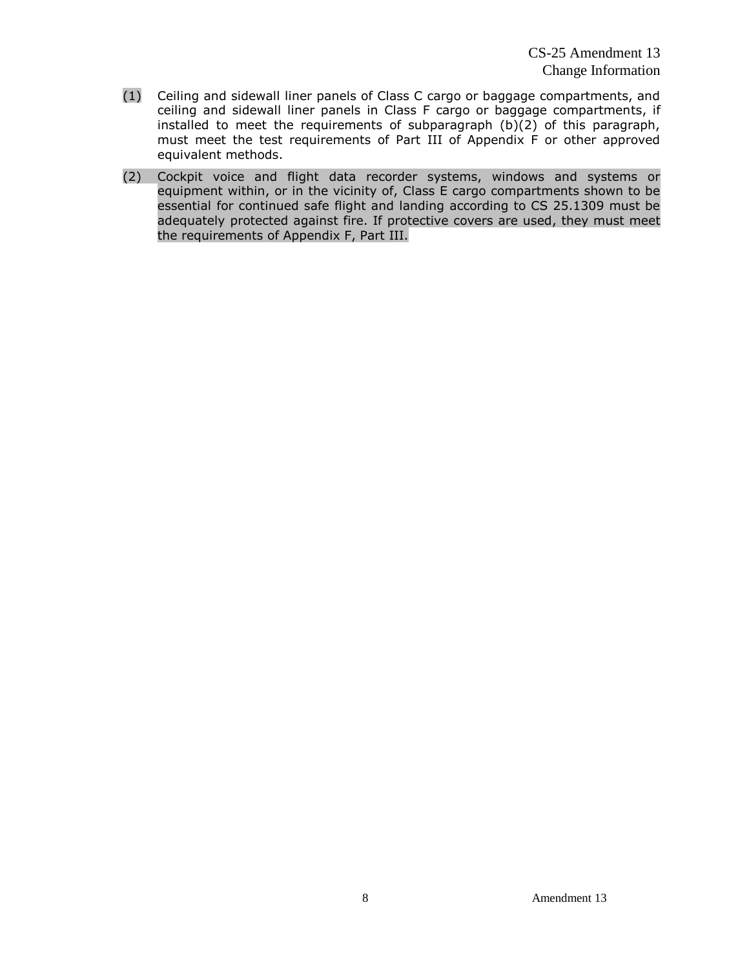- (1) Ceiling and sidewall liner panels of Class C cargo or baggage compartments, and ceiling and sidewall liner panels in Class F cargo or baggage compartments, if installed to meet the requirements of subparagraph (b)(2) of this paragraph, must meet the test requirements of Part III of Appendix F or other approved equivalent methods.
- (2) Cockpit voice and flight data recorder systems, windows and systems or equipment within, or in the vicinity of, Class E cargo compartments shown to be essential for continued safe flight and landing according to CS 25.1309 must be adequately protected against fire. If protective covers are used, they must meet the requirements of Appendix F, Part III.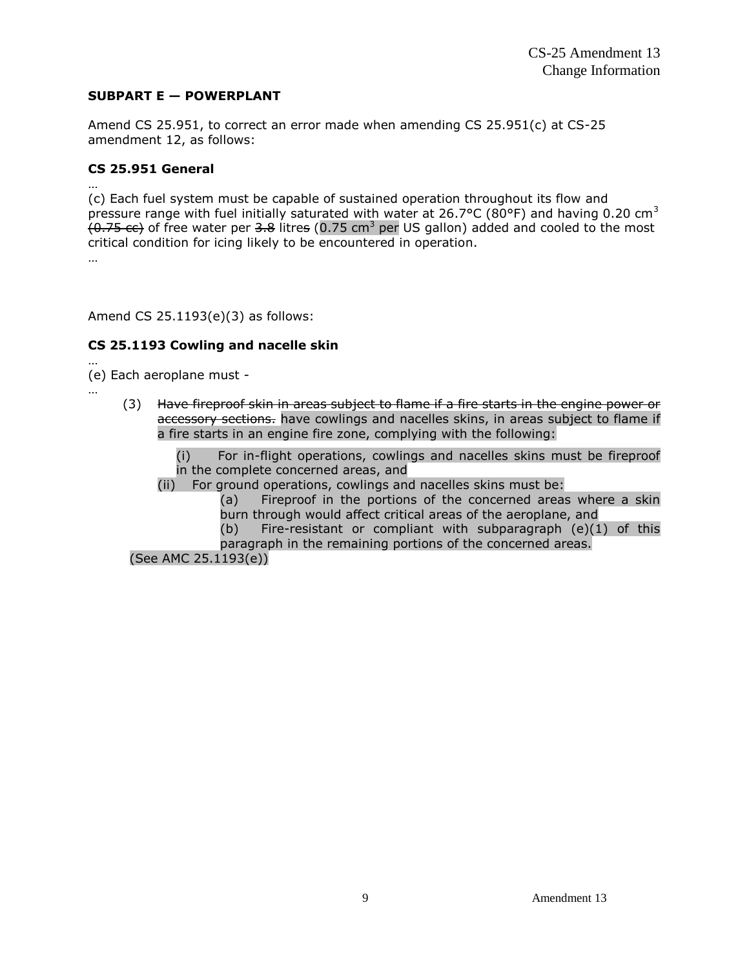## **SUBPART E — POWERPLANT**

Amend CS 25.951, to correct an error made when amending CS 25.951(c) at CS-25 amendment 12, as follows:

## **CS 25.951 General**

… (c) Each fuel system must be capable of sustained operation throughout its flow and pressure range with fuel initially saturated with water at 26.7°C (80°F) and having 0.20 cm<sup>3</sup>  $(0.75 \text{ cc})$  of free water per 3.8 litres (0.75 cm<sup>3</sup> per US gallon) added and cooled to the most critical condition for icing likely to be encountered in operation. …

Amend CS 25.1193(e)(3) as follows:

## **CS 25.1193 Cowling and nacelle skin**

… (e) Each aeroplane must -

…

- (3) Have fireproof skin in areas subject to flame if a fire starts in the engine power or accessory sections. have cowlings and nacelles skins, in areas subject to flame if a fire starts in an engine fire zone, complying with the following:
	- For in-flight operations, cowlings and nacelles skins must be fireproof in the complete concerned areas, and
	- (ii) For ground operations, cowlings and nacelles skins must be:
		- (a) Fireproof in the portions of the concerned areas where a skin burn through would affect critical areas of the aeroplane, and
		- (b) Fire-resistant or compliant with subparagraph (e)(1) of this paragraph in the remaining portions of the concerned areas.

(See AMC 25.1193(e))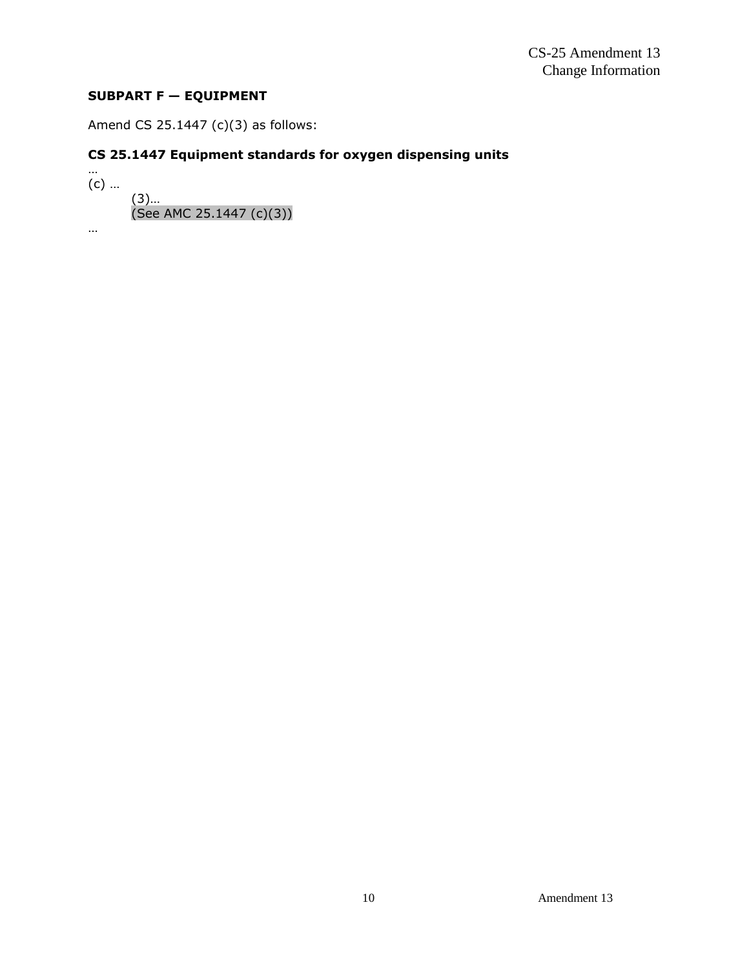## **SUBPART F — EQUIPMENT**

Amend CS 25.1447 (c)(3) as follows:

# **CS 25.1447 Equipment standards for oxygen dispensing units**

…  $(c)$  ... (3)… (See AMC 25.1447 (c)(3)) …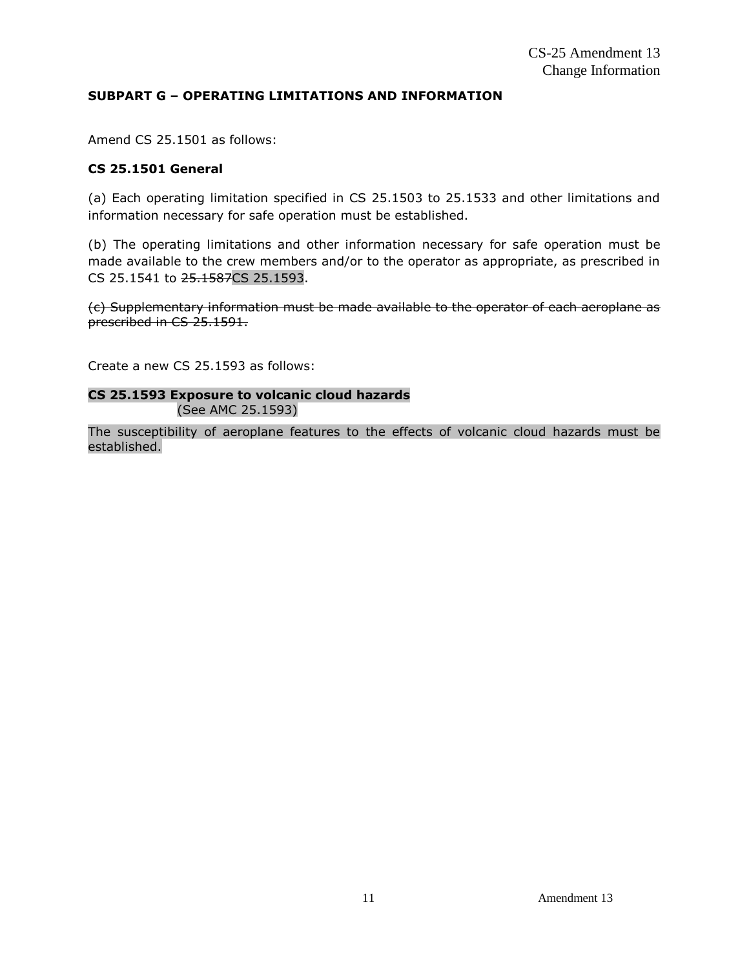## **SUBPART G – OPERATING LIMITATIONS AND INFORMATION**

Amend CS 25.1501 as follows:

## **CS 25.1501 General**

(a) Each operating limitation specified in CS 25.1503 to 25.1533 and other limitations and information necessary for safe operation must be established.

(b) The operating limitations and other information necessary for safe operation must be made available to the crew members and/or to the operator as appropriate, as prescribed in CS 25.1541 to 25.1587CS 25.1593.

(c) Supplementary information must be made available to the operator of each aeroplane as prescribed in CS 25.1591.

Create a new CS 25.1593 as follows:

## **CS 25.1593 Exposure to volcanic cloud hazards** (See AMC 25.1593)

The susceptibility of aeroplane features to the effects of volcanic cloud hazards must be established.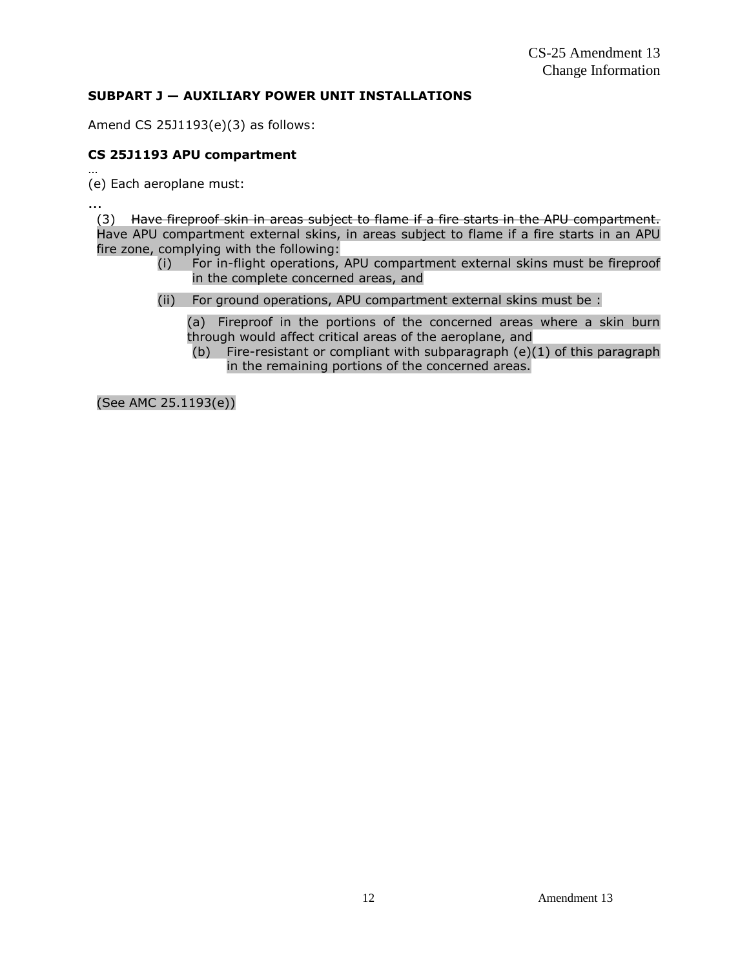## **SUBPART J — AUXILIARY POWER UNIT INSTALLATIONS**

Amend CS 25J1193(e)(3) as follows:

## **CS 25J1193 APU compartment**

… (e) Each aeroplane must:

…

(3) Have fireproof skin in areas subject to flame if a fire starts in the APU compartment. Have APU compartment external skins, in areas subject to flame if a fire starts in an APU fire zone, complying with the following:

- (i) For in-flight operations, APU compartment external skins must be fireproof in the complete concerned areas, and
- (ii) For ground operations, APU compartment external skins must be :

(a) Fireproof in the portions of the concerned areas where a skin burn through would affect critical areas of the aeroplane, and

(b) Fire-resistant or compliant with subparagraph  $(e)(1)$  of this paragraph in the remaining portions of the concerned areas.

(See AMC 25.1193(e))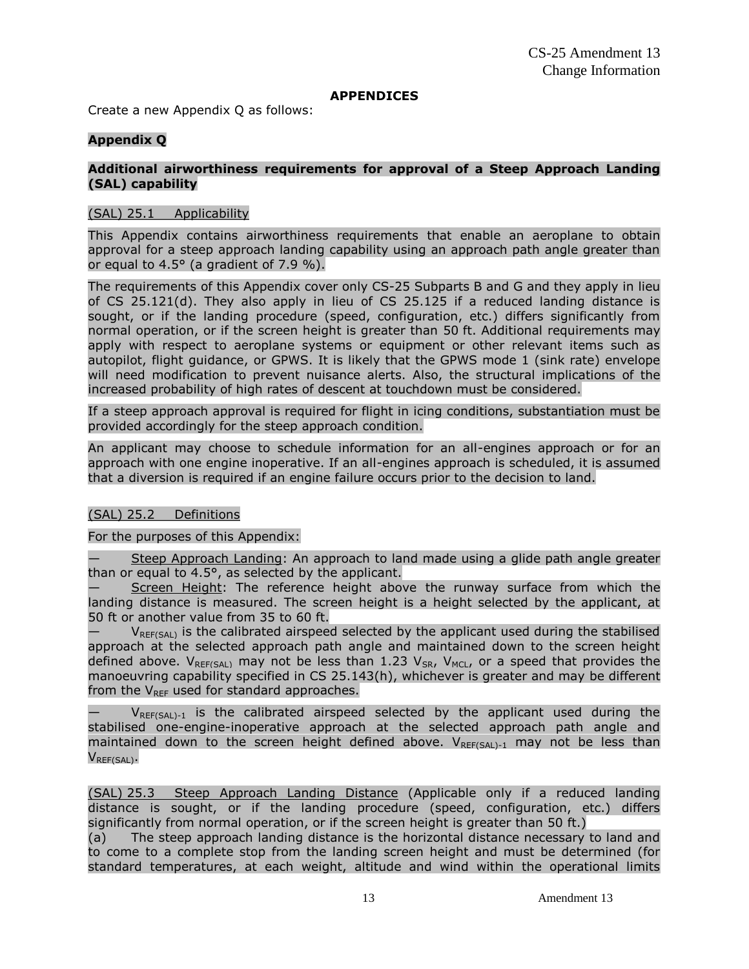#### **APPENDICES**

Create a new Appendix Q as follows:

#### **Appendix Q**

#### **Additional airworthiness requirements for approval of a Steep Approach Landing (SAL) capability**

#### (SAL) 25.1 Applicability

This Appendix contains airworthiness requirements that enable an aeroplane to obtain approval for a steep approach landing capability using an approach path angle greater than or equal to  $4.5^\circ$  (a gradient of 7.9 %).

The requirements of this Appendix cover only CS-25 Subparts B and G and they apply in lieu of CS 25.121(d). They also apply in lieu of CS 25.125 if a reduced landing distance is sought, or if the landing procedure (speed, configuration, etc.) differs significantly from normal operation, or if the screen height is greater than 50 ft. Additional requirements may apply with respect to aeroplane systems or equipment or other relevant items such as autopilot, flight guidance, or GPWS. It is likely that the GPWS mode 1 (sink rate) envelope will need modification to prevent nuisance alerts. Also, the structural implications of the increased probability of high rates of descent at touchdown must be considered.

If a steep approach approval is required for flight in icing conditions, substantiation must be provided accordingly for the steep approach condition.

An applicant may choose to schedule information for an all-engines approach or for an approach with one engine inoperative. If an all-engines approach is scheduled, it is assumed that a diversion is required if an engine failure occurs prior to the decision to land.

## (SAL) 25.2 Definitions

#### For the purposes of this Appendix:

Steep Approach Landing: An approach to land made using a glide path angle greater than or equal to  $4.5^\circ$ , as selected by the applicant.

— Screen Height: The reference height above the runway surface from which the landing distance is measured. The screen height is a height selected by the applicant, at 50 ft or another value from 35 to 60 ft.

 $V_{\text{RFF(SAI)}}$  is the calibrated airspeed selected by the applicant used during the stabilised approach at the selected approach path angle and maintained down to the screen height defined above.  $V_{REF(SA)}$  may not be less than 1.23  $V_{SR}$ ,  $V_{MC}$ , or a speed that provides the manoeuvring capability specified in CS 25.143(h), whichever is greater and may be different from the  $V_{\text{REF}}$  used for standard approaches.

 $V_{REF(SAL)-1}$  is the calibrated airspeed selected by the applicant used during the stabilised one-engine-inoperative approach at the selected approach path angle and maintained down to the screen height defined above.  $V_{REF(SA1)-1}$  may not be less than VREF(SAL).

(SAL) 25.3 Steep Approach Landing Distance (Applicable only if a reduced landing distance is sought, or if the landing procedure (speed, configuration, etc.) differs significantly from normal operation, or if the screen height is greater than 50 ft.)

(a) The steep approach landing distance is the horizontal distance necessary to land and to come to a complete stop from the landing screen height and must be determined (for standard temperatures, at each weight, altitude and wind within the operational limits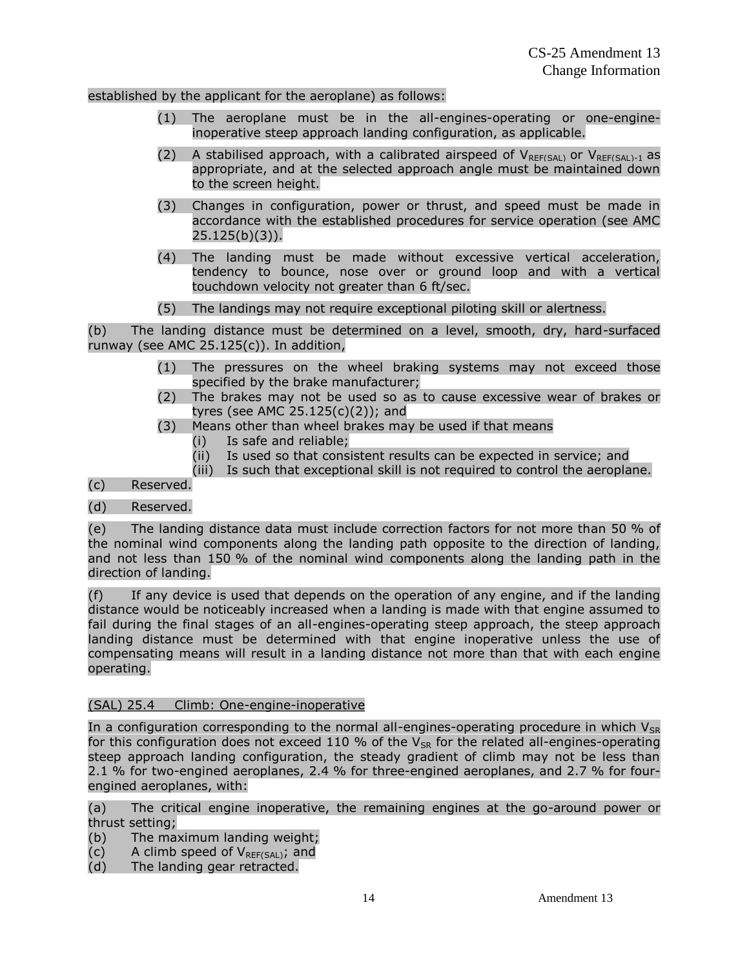#### established by the applicant for the aeroplane) as follows:

- (1) The aeroplane must be in the all-engines-operating or one-engineinoperative steep approach landing configuration, as applicable.
- (2) A stabilised approach, with a calibrated airspeed of  $V_{REF(SAL)}$  or  $V_{REF(SAL)-1}$  as appropriate, and at the selected approach angle must be maintained down to the screen height.
- (3) Changes in configuration, power or thrust, and speed must be made in accordance with the established procedures for service operation (see AMC 25.125(b)(3)).
- (4) The landing must be made without excessive vertical acceleration, tendency to bounce, nose over or ground loop and with a vertical touchdown velocity not greater than 6 ft/sec.
- (5) The landings may not require exceptional piloting skill or alertness.

(b) The landing distance must be determined on a level, smooth, dry, hard-surfaced runway (see AMC 25.125(c)). In addition,

- (1) The pressures on the wheel braking systems may not exceed those specified by the brake manufacturer;
- (2) The brakes may not be used so as to cause excessive wear of brakes or tyres (see AMC 25.125(c)(2)); and
- (3) Means other than wheel brakes may be used if that means
	- (i) Is safe and reliable;
	- (ii) Is used so that consistent results can be expected in service; and
	- (iii) Is such that exceptional skill is not required to control the aeroplane.

## (c) Reserved.

## (d) Reserved.

(e) The landing distance data must include correction factors for not more than 50 % of the nominal wind components along the landing path opposite to the direction of landing, and not less than 150 % of the nominal wind components along the landing path in the direction of landing.

(f) If any device is used that depends on the operation of any engine, and if the landing distance would be noticeably increased when a landing is made with that engine assumed to fail during the final stages of an all-engines-operating steep approach, the steep approach landing distance must be determined with that engine inoperative unless the use of compensating means will result in a landing distance not more than that with each engine operating.

## (SAL) 25.4 Climb: One-engine-inoperative

In a configuration corresponding to the normal all-engines-operating procedure in which  $V_{SR}$ for this configuration does not exceed 110 % of the  $V_{SR}$  for the related all-engines-operating steep approach landing configuration, the steady gradient of climb may not be less than 2.1 % for two-engined aeroplanes, 2.4 % for three-engined aeroplanes, and 2.7 % for fourengined aeroplanes, with:

(a) The critical engine inoperative, the remaining engines at the go-around power or thrust setting;

- (b) The maximum landing weight;
- (c) A climb speed of  $V_{REF(SAL)}$ ; and
- (d) The landing gear retracted.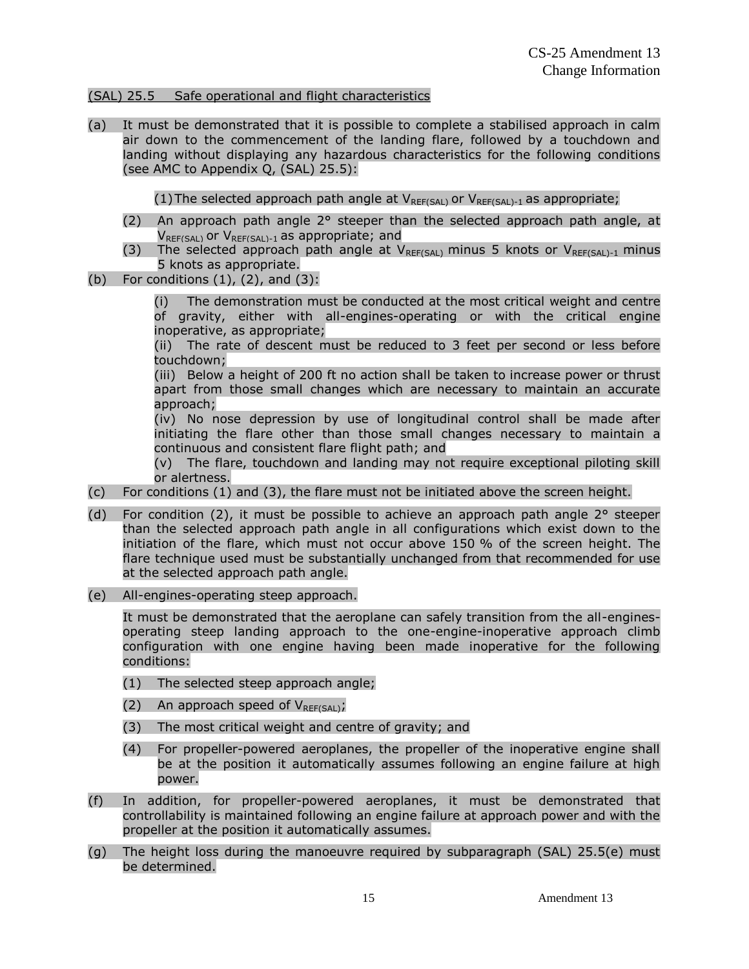#### (SAL) 25.5 Safe operational and flight characteristics

(a) It must be demonstrated that it is possible to complete a stabilised approach in calm air down to the commencement of the landing flare, followed by a touchdown and landing without displaying any hazardous characteristics for the following conditions (see AMC to Appendix Q, (SAL) 25.5):

(1) The selected approach path angle at  $V_{REF(SAL)}$  or  $V_{REF(SAL)-1}$  as appropriate;

- (2) An approach path angle  $2^{\circ}$  steeper than the selected approach path angle, at  $V_{REF(SAL)}$  or  $V_{REF(SAL)-1}$  as appropriate; and
- (3) The selected approach path angle at  $V_{RFf(SA)}$  minus 5 knots or  $V_{RFf(SA)+1}$  minus 5 knots as appropriate.
- (b) For conditions  $(1)$ ,  $(2)$ , and  $(3)$ :

(i) The demonstration must be conducted at the most critical weight and centre of gravity, either with all-engines-operating or with the critical engine inoperative, as appropriate;

(ii) The rate of descent must be reduced to 3 feet per second or less before touchdown;

(iii) Below a height of 200 ft no action shall be taken to increase power or thrust apart from those small changes which are necessary to maintain an accurate approach;

(iv) No nose depression by use of longitudinal control shall be made after initiating the flare other than those small changes necessary to maintain a continuous and consistent flare flight path; and

(v) The flare, touchdown and landing may not require exceptional piloting skill or alertness.

- (c) For conditions (1) and (3), the flare must not be initiated above the screen height.
- (d) For condition (2), it must be possible to achieve an approach path angle  $2^{\circ}$  steeper than the selected approach path angle in all configurations which exist down to the initiation of the flare, which must not occur above 150 % of the screen height. The flare technique used must be substantially unchanged from that recommended for use at the selected approach path angle.
- (e) All-engines-operating steep approach.

It must be demonstrated that the aeroplane can safely transition from the all-enginesoperating steep landing approach to the one-engine-inoperative approach climb configuration with one engine having been made inoperative for the following conditions:

- (1) The selected steep approach angle;
- (2) An approach speed of  $V_{REF(SAL)}$ ;
- (3) The most critical weight and centre of gravity; and
- (4) For propeller-powered aeroplanes, the propeller of the inoperative engine shall be at the position it automatically assumes following an engine failure at high power.
- (f) In addition, for propeller-powered aeroplanes, it must be demonstrated that controllability is maintained following an engine failure at approach power and with the propeller at the position it automatically assumes.
- (g) The height loss during the manoeuvre required by subparagraph (SAL) 25.5(e) must be determined.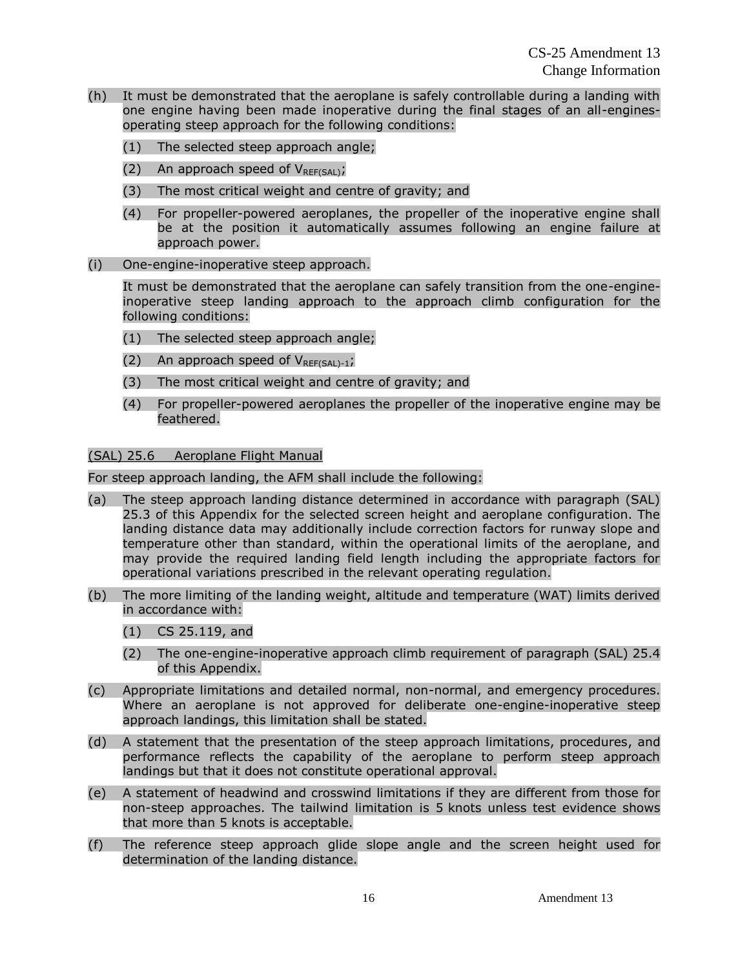- (h) It must be demonstrated that the aeroplane is safely controllable during a landing with one engine having been made inoperative during the final stages of an all-enginesoperating steep approach for the following conditions:
	- (1) The selected steep approach angle;
	- (2) An approach speed of  $V_{REF(SAI)}$ ;
	- (3) The most critical weight and centre of gravity; and
	- (4) For propeller-powered aeroplanes, the propeller of the inoperative engine shall be at the position it automatically assumes following an engine failure at approach power.
- (i) One-engine-inoperative steep approach.

It must be demonstrated that the aeroplane can safely transition from the one-engineinoperative steep landing approach to the approach climb configuration for the following conditions:

- (1) The selected steep approach angle;
- (2) An approach speed of  $V_{REF(SA1)-1}$ ;
- (3) The most critical weight and centre of gravity; and
- (4) For propeller-powered aeroplanes the propeller of the inoperative engine may be feathered.

## (SAL) 25.6 Aeroplane Flight Manual

For steep approach landing, the AFM shall include the following:

- (a) The steep approach landing distance determined in accordance with paragraph (SAL) 25.3 of this Appendix for the selected screen height and aeroplane configuration. The landing distance data may additionally include correction factors for runway slope and temperature other than standard, within the operational limits of the aeroplane, and may provide the required landing field length including the appropriate factors for operational variations prescribed in the relevant operating regulation.
- (b) The more limiting of the landing weight, altitude and temperature (WAT) limits derived in accordance with:
	- (1) CS 25.119, and
	- (2) The one-engine-inoperative approach climb requirement of paragraph (SAL) 25.4 of this Appendix.
- (c) Appropriate limitations and detailed normal, non-normal, and emergency procedures. Where an aeroplane is not approved for deliberate one-engine-inoperative steep approach landings, this limitation shall be stated.
- (d) A statement that the presentation of the steep approach limitations, procedures, and performance reflects the capability of the aeroplane to perform steep approach landings but that it does not constitute operational approval.
- (e) A statement of headwind and crosswind limitations if they are different from those for non-steep approaches. The tailwind limitation is 5 knots unless test evidence shows that more than 5 knots is acceptable.
- (f) The reference steep approach glide slope angle and the screen height used for determination of the landing distance.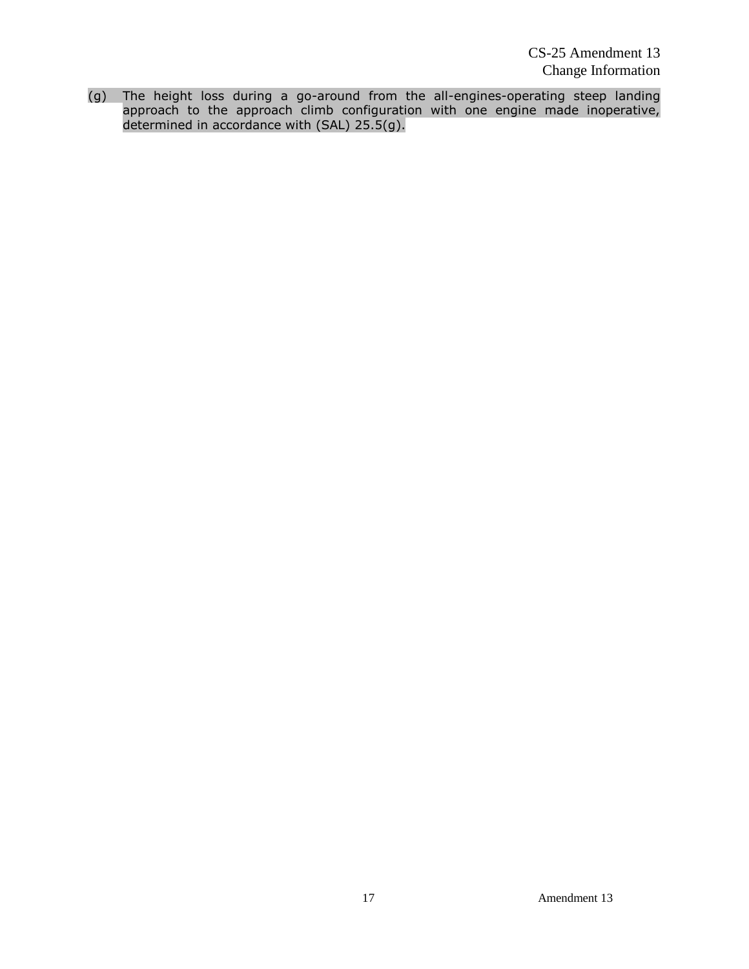(g) The height loss during a go-around from the all-engines-operating steep landing approach to the approach climb configuration with one engine made inoperative, determined in accordance with (SAL) 25.5(g).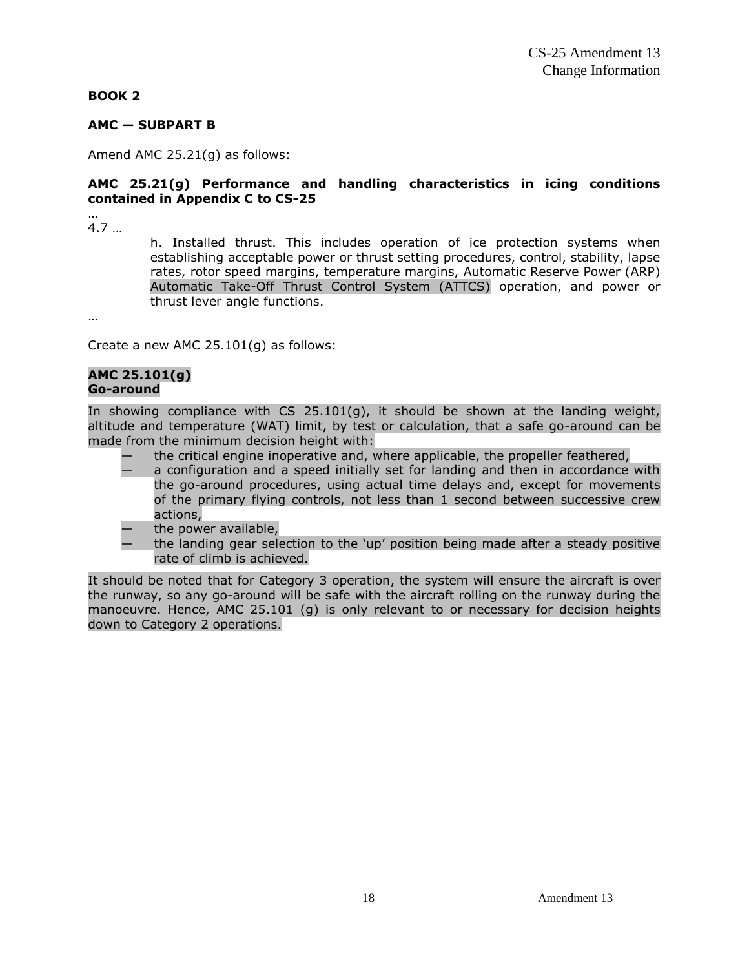#### **BOOK 2**

#### **AMC — SUBPART B**

Amend AMC 25.21(g) as follows:

#### **AMC 25.21(g) Performance and handling characteristics in icing conditions contained in Appendix C to CS-25**

… 4.7 …

> h. Installed thrust. This includes operation of ice protection systems when establishing acceptable power or thrust setting procedures, control, stability, lapse rates, rotor speed margins, temperature margins, Automatic Reserve Power (ARP) Automatic Take-Off Thrust Control System (ATTCS) operation, and power or thrust lever angle functions.

…

Create a new AMC 25.101(g) as follows:

#### **AMC 25.101(g) Go-around**

In showing compliance with  $CS$  25.101(g), it should be shown at the landing weight, altitude and temperature (WAT) limit, by test or calculation, that a safe go-around can be made from the minimum decision height with:

- the critical engine inoperative and, where applicable, the propeller feathered,
- a configuration and a speed initially set for landing and then in accordance with the go-around procedures, using actual time delays and, except for movements of the primary flying controls, not less than 1 second between successive crew actions,
- the power available,
- the landing gear selection to the 'up' position being made after a steady positive rate of climb is achieved.

It should be noted that for Category 3 operation, the system will ensure the aircraft is over the runway, so any go-around will be safe with the aircraft rolling on the runway during the manoeuvre. Hence, AMC 25.101 (g) is only relevant to or necessary for decision heights down to Category 2 operations.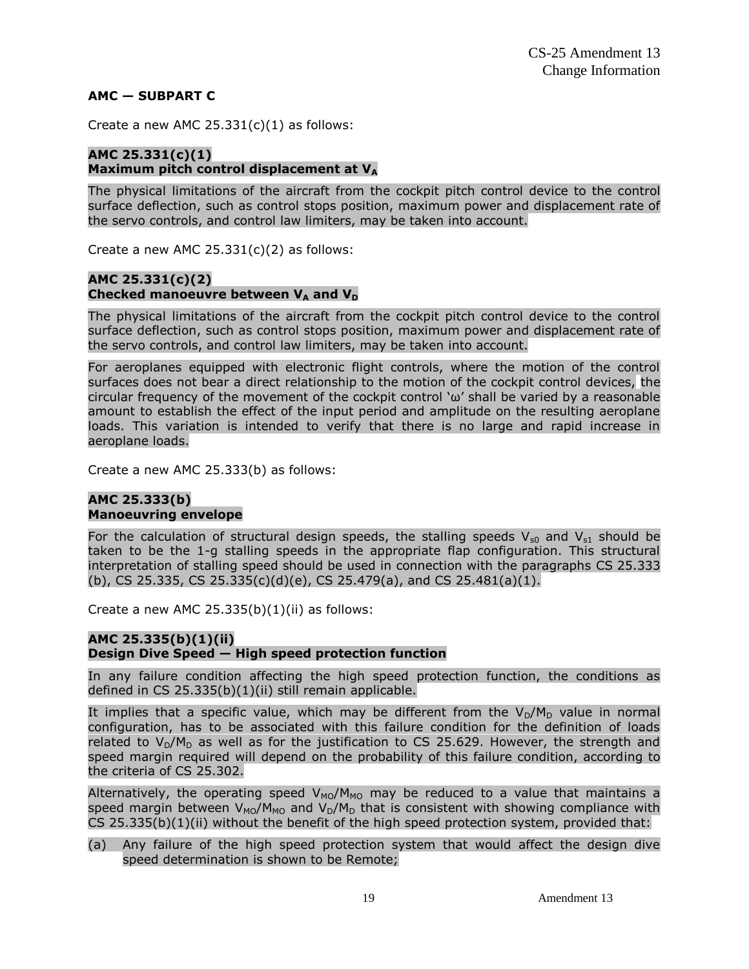#### **AMC — SUBPART C**

Create a new AMC  $25.331(c)(1)$  as follows:

## **AMC 25.331(c)(1) Maximum pitch control displacement at V<sup>A</sup>**

The physical limitations of the aircraft from the cockpit pitch control device to the control surface deflection, such as control stops position, maximum power and displacement rate of the servo controls, and control law limiters, may be taken into account.

Create a new AMC  $25.331(c)(2)$  as follows:

## **AMC 25.331(c)(2)** Checked manoeuvre between  $V_A$  and  $V_D$

The physical limitations of the aircraft from the cockpit pitch control device to the control surface deflection, such as control stops position, maximum power and displacement rate of the servo controls, and control law limiters, may be taken into account.

For aeroplanes equipped with electronic flight controls, where the motion of the control surfaces does not bear a direct relationship to the motion of the cockpit control devices, the circular frequency of the movement of the cockpit control 'ω' shall be varied by a reasonable amount to establish the effect of the input period and amplitude on the resulting aeroplane loads. This variation is intended to verify that there is no large and rapid increase in aeroplane loads.

Create a new AMC 25.333(b) as follows:

#### **AMC 25.333(b) Manoeuvring envelope**

For the calculation of structural design speeds, the stalling speeds  $V_{s0}$  and  $V_{s1}$  should be taken to be the 1-g stalling speeds in the appropriate flap configuration. This structural interpretation of stalling speed should be used in connection with the paragraphs CS 25.333 (b), CS 25.335, CS 25.335(c)(d)(e), CS 25.479(a), and CS 25.481(a)(1).

Create a new AMC  $25.335(b)(1)(ii)$  as follows:

## **AMC 25.335(b)(1)(ii) Design Dive Speed — High speed protection function**

In any failure condition affecting the high speed protection function, the conditions as defined in CS 25.335(b)(1)(ii) still remain applicable.

It implies that a specific value, which may be different from the  $V_D/M_D$  value in normal configuration, has to be associated with this failure condition for the definition of loads related to  $V_D/M_D$  as well as for the justification to CS 25.629. However, the strength and speed margin required will depend on the probability of this failure condition, according to the criteria of CS 25.302.

Alternatively, the operating speed  $V_{MO}/M_{MO}$  may be reduced to a value that maintains a speed margin between  $V_{MO}/M_{MO}$  and  $V_D/M_D$  that is consistent with showing compliance with CS 25.335(b)(1)(ii) without the benefit of the high speed protection system, provided that:

#### (a) Any failure of the high speed protection system that would affect the design dive speed determination is shown to be Remote;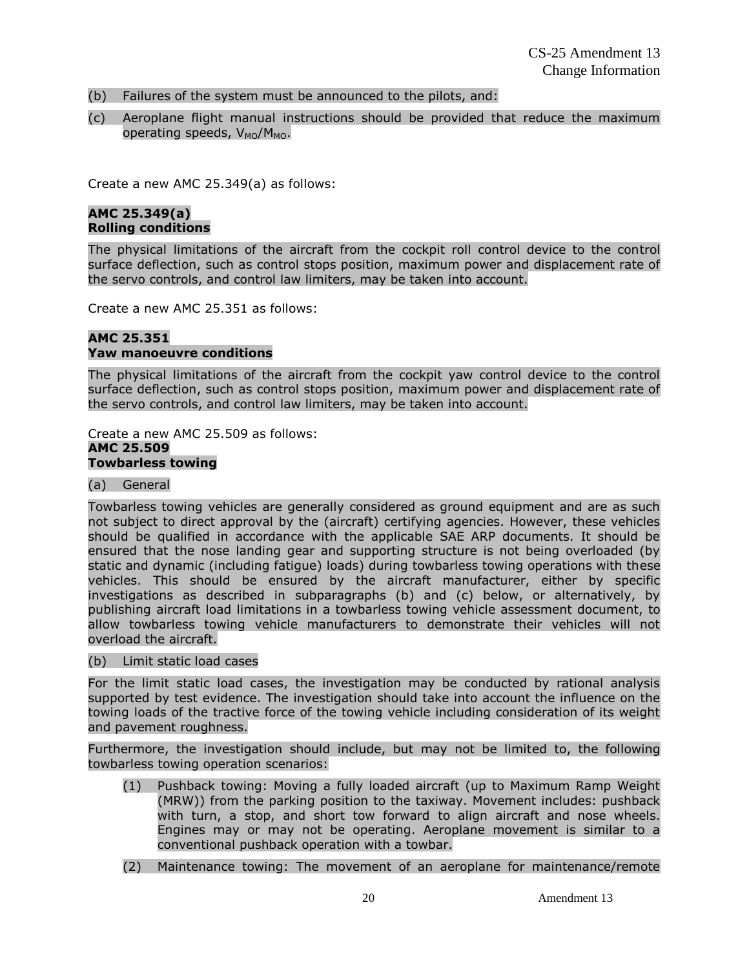- (b) Failures of the system must be announced to the pilots, and:
- (c) Aeroplane flight manual instructions should be provided that reduce the maximum operating speeds,  $V_{MO}/M_{MO}$ .

Create a new AMC 25.349(a) as follows:

## **AMC 25.349(a) Rolling conditions**

The physical limitations of the aircraft from the cockpit roll control device to the control surface deflection, such as control stops position, maximum power and displacement rate of the servo controls, and control law limiters, may be taken into account.

Create a new AMC 25.351 as follows:

## **AMC 25.351 Yaw manoeuvre conditions**

The physical limitations of the aircraft from the cockpit yaw control device to the control surface deflection, such as control stops position, maximum power and displacement rate of the servo controls, and control law limiters, may be taken into account.

Create a new AMC 25.509 as follows: **AMC 25.509 Towbarless towing**

(a) General

Towbarless towing vehicles are generally considered as ground equipment and are as such not subject to direct approval by the (aircraft) certifying agencies. However, these vehicles should be qualified in accordance with the applicable SAE ARP documents. It should be ensured that the nose landing gear and supporting structure is not being overloaded (by static and dynamic (including fatigue) loads) during towbarless towing operations with these vehicles. This should be ensured by the aircraft manufacturer, either by specific investigations as described in subparagraphs (b) and (c) below, or alternatively, by publishing aircraft load limitations in a towbarless towing vehicle assessment document, to allow towbarless towing vehicle manufacturers to demonstrate their vehicles will not overload the aircraft.

(b) Limit static load cases

For the limit static load cases, the investigation may be conducted by rational analysis supported by test evidence. The investigation should take into account the influence on the towing loads of the tractive force of the towing vehicle including consideration of its weight and pavement roughness.

Furthermore, the investigation should include, but may not be limited to, the following towbarless towing operation scenarios:

- (1) Pushback towing: Moving a fully loaded aircraft (up to Maximum Ramp Weight (MRW)) from the parking position to the taxiway. Movement includes: pushback with turn, a stop, and short tow forward to align aircraft and nose wheels. Engines may or may not be operating. Aeroplane movement is similar to a conventional pushback operation with a towbar.
- (2) Maintenance towing: The movement of an aeroplane for maintenance/remote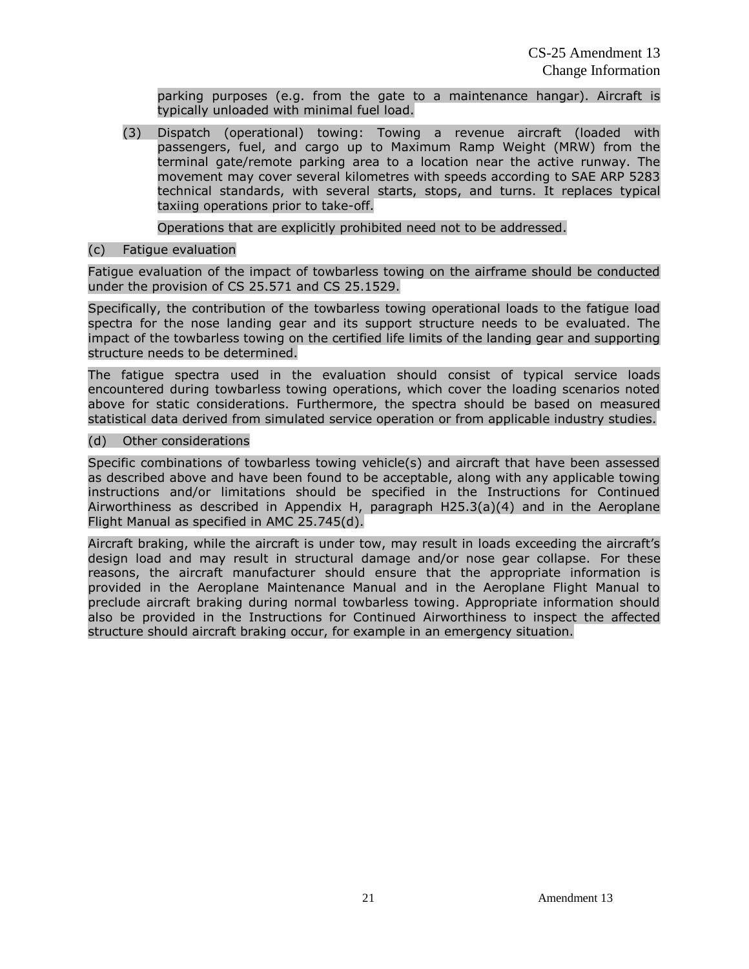parking purposes (e.g. from the gate to a maintenance hangar). Aircraft is typically unloaded with minimal fuel load.

(3) Dispatch (operational) towing: Towing a revenue aircraft (loaded with passengers, fuel, and cargo up to Maximum Ramp Weight (MRW) from the terminal gate/remote parking area to a location near the active runway. The movement may cover several kilometres with speeds according to SAE ARP 5283 technical standards, with several starts, stops, and turns. It replaces typical taxiing operations prior to take-off.

Operations that are explicitly prohibited need not to be addressed.

## (c) Fatigue evaluation

Fatigue evaluation of the impact of towbarless towing on the airframe should be conducted under the provision of CS 25.571 and CS 25.1529.

Specifically, the contribution of the towbarless towing operational loads to the fatigue load spectra for the nose landing gear and its support structure needs to be evaluated. The impact of the towbarless towing on the certified life limits of the landing gear and supporting structure needs to be determined.

The fatigue spectra used in the evaluation should consist of typical service loads encountered during towbarless towing operations, which cover the loading scenarios noted above for static considerations. Furthermore, the spectra should be based on measured statistical data derived from simulated service operation or from applicable industry studies.

## (d) Other considerations

Specific combinations of towbarless towing vehicle(s) and aircraft that have been assessed as described above and have been found to be acceptable, along with any applicable towing instructions and/or limitations should be specified in the Instructions for Continued Airworthiness as described in Appendix H, paragraph H25.3(a)(4) and in the Aeroplane Flight Manual as specified in AMC 25.745(d).

Aircraft braking, while the aircraft is under tow, may result in loads exceeding the aircraft's design load and may result in structural damage and/or nose gear collapse. For these reasons, the aircraft manufacturer should ensure that the appropriate information is provided in the Aeroplane Maintenance Manual and in the Aeroplane Flight Manual to preclude aircraft braking during normal towbarless towing. Appropriate information should also be provided in the Instructions for Continued Airworthiness to inspect the affected structure should aircraft braking occur, for example in an emergency situation.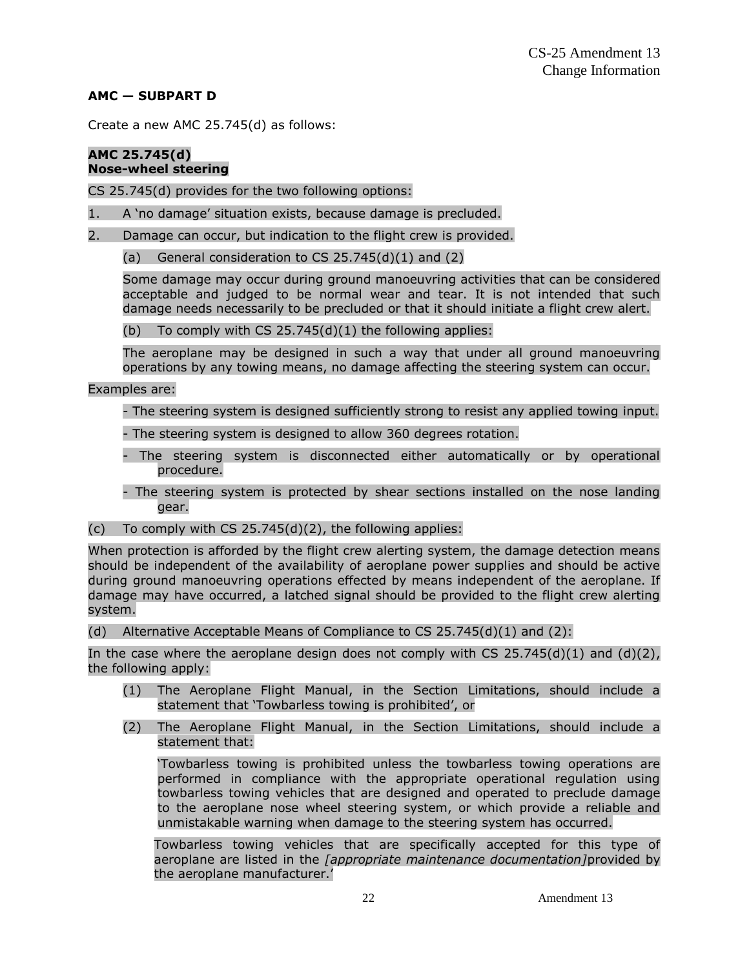## **AMC — SUBPART D**

Create a new AMC 25.745(d) as follows:

#### **AMC 25.745(d) Nose-wheel steering**

CS 25.745(d) provides for the two following options:

- 1. A 'no damage' situation exists, because damage is precluded.
- 2. Damage can occur, but indication to the flight crew is provided.
	- (a) General consideration to  $CS$  25.745(d)(1) and (2)

Some damage may occur during ground manoeuvring activities that can be considered acceptable and judged to be normal wear and tear. It is not intended that such damage needs necessarily to be precluded or that it should initiate a flight crew alert.

(b) To comply with  $CS$  25.745(d)(1) the following applies:

The aeroplane may be designed in such a way that under all ground manoeuvring operations by any towing means, no damage affecting the steering system can occur.

Examples are:

- The steering system is designed sufficiently strong to resist any applied towing input.

- The steering system is designed to allow 360 degrees rotation.
- The steering system is disconnected either automatically or by operational procedure.
- The steering system is protected by shear sections installed on the nose landing gear.
- (c) To comply with  $CS$  25.745(d)(2), the following applies:

When protection is afforded by the flight crew alerting system, the damage detection means should be independent of the availability of aeroplane power supplies and should be active during ground manoeuvring operations effected by means independent of the aeroplane. If damage may have occurred, a latched signal should be provided to the flight crew alerting system.

(d) Alternative Acceptable Means of Compliance to CS  $25.745(d)(1)$  and  $(2)$ :

In the case where the aeroplane design does not comply with CS 25.745(d)(1) and (d)(2), the following apply:

- (1) The Aeroplane Flight Manual, in the Section Limitations, should include a statement that 'Towbarless towing is prohibited', or
- (2) The Aeroplane Flight Manual, in the Section Limitations, should include a statement that:

'Towbarless towing is prohibited unless the towbarless towing operations are performed in compliance with the appropriate operational regulation using towbarless towing vehicles that are designed and operated to preclude damage to the aeroplane nose wheel steering system, or which provide a reliable and unmistakable warning when damage to the steering system has occurred.

Towbarless towing vehicles that are specifically accepted for this type of aeroplane are listed in the *[appropriate maintenance documentation]*provided by the aeroplane manufacturer.'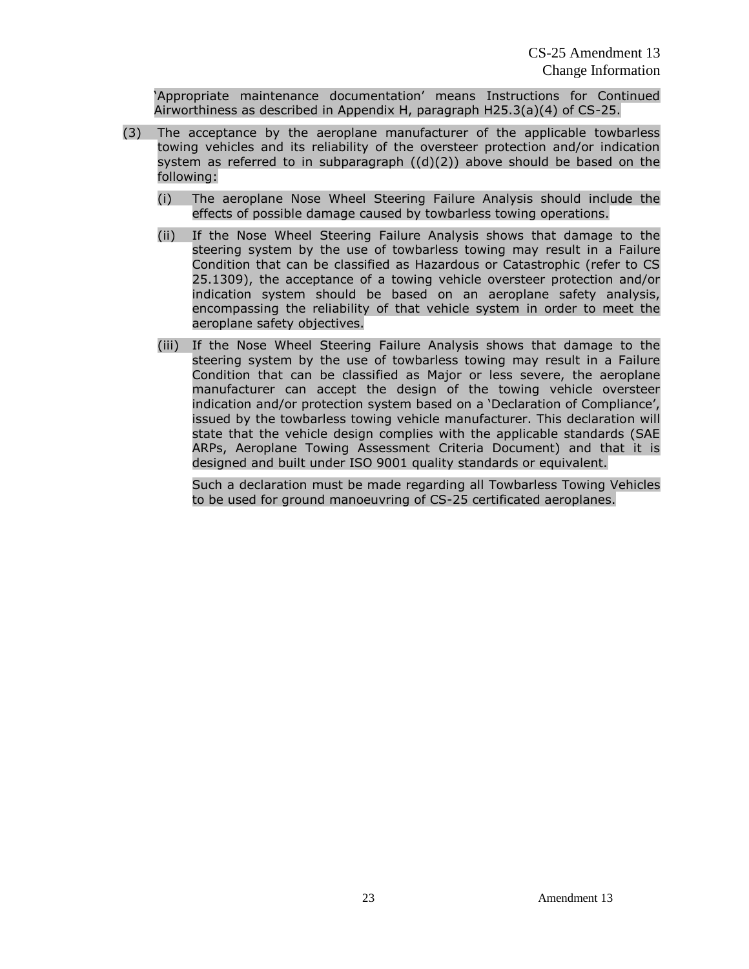'Appropriate maintenance documentation' means Instructions for Continued Airworthiness as described in Appendix H, paragraph H25.3(a)(4) of CS-25.

- (3) The acceptance by the aeroplane manufacturer of the applicable towbarless towing vehicles and its reliability of the oversteer protection and/or indication system as referred to in subparagraph  $((d)(2))$  above should be based on the following:
	- (i) The aeroplane Nose Wheel Steering Failure Analysis should include the effects of possible damage caused by towbarless towing operations.
	- (ii) If the Nose Wheel Steering Failure Analysis shows that damage to the steering system by the use of towbarless towing may result in a Failure Condition that can be classified as Hazardous or Catastrophic (refer to CS 25.1309), the acceptance of a towing vehicle oversteer protection and/or indication system should be based on an aeroplane safety analysis, encompassing the reliability of that vehicle system in order to meet the aeroplane safety objectives.
	- (iii) If the Nose Wheel Steering Failure Analysis shows that damage to the steering system by the use of towbarless towing may result in a Failure Condition that can be classified as Major or less severe, the aeroplane manufacturer can accept the design of the towing vehicle oversteer indication and/or protection system based on a 'Declaration of Compliance', issued by the towbarless towing vehicle manufacturer. This declaration will state that the vehicle design complies with the applicable standards (SAE ARPs, Aeroplane Towing Assessment Criteria Document) and that it is designed and built under ISO 9001 quality standards or equivalent.

Such a declaration must be made regarding all Towbarless Towing Vehicles to be used for ground manoeuvring of CS-25 certificated aeroplanes.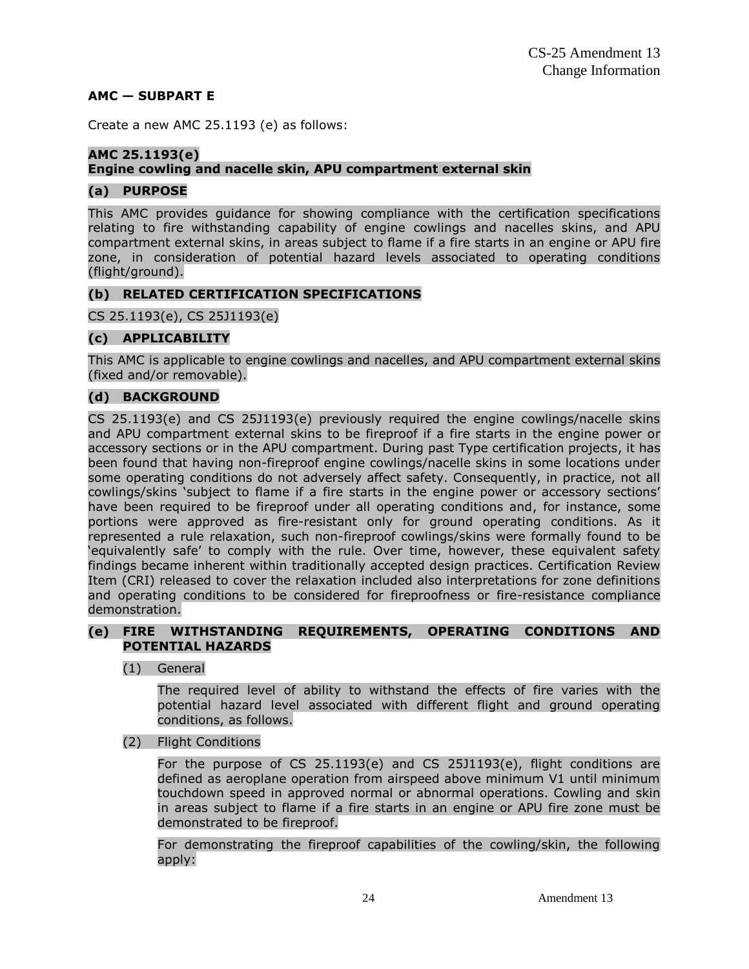#### **AMC — SUBPART E**

Create a new AMC 25.1193 (e) as follows:

## **AMC 25.1193(e)**

## **Engine cowling and nacelle skin, APU compartment external skin**

## **(a) PURPOSE**

This AMC provides guidance for showing compliance with the certification specifications relating to fire withstanding capability of engine cowlings and nacelles skins, and APU compartment external skins, in areas subject to flame if a fire starts in an engine or APU fire zone, in consideration of potential hazard levels associated to operating conditions (flight/ground).

## **(b) RELATED CERTIFICATION SPECIFICATIONS**

CS 25.1193(e), CS 25J1193(e)

## **(c) APPLICABILITY**

This AMC is applicable to engine cowlings and nacelles, and APU compartment external skins (fixed and/or removable).

## **(d) BACKGROUND**

CS 25.1193(e) and CS 25J1193(e) previously required the engine cowlings/nacelle skins and APU compartment external skins to be fireproof if a fire starts in the engine power or accessory sections or in the APU compartment. During past Type certification projects, it has been found that having non-fireproof engine cowlings/nacelle skins in some locations under some operating conditions do not adversely affect safety. Consequently, in practice, not all cowlings/skins 'subject to flame if a fire starts in the engine power or accessory sections' have been required to be fireproof under all operating conditions and, for instance, some portions were approved as fire-resistant only for ground operating conditions. As it represented a rule relaxation, such non-fireproof cowlings/skins were formally found to be 'equivalently safe' to comply with the rule. Over time, however, these equivalent safety findings became inherent within traditionally accepted design practices. Certification Review Item (CRI) released to cover the relaxation included also interpretations for zone definitions and operating conditions to be considered for fireproofness or fire-resistance compliance demonstration.

#### **(e) FIRE WITHSTANDING REQUIREMENTS, OPERATING CONDITIONS AND POTENTIAL HAZARDS**

(1) General

The required level of ability to withstand the effects of fire varies with the potential hazard level associated with different flight and ground operating conditions, as follows.

(2) Flight Conditions

For the purpose of CS 25.1193(e) and CS 25J1193(e), flight conditions are defined as aeroplane operation from airspeed above minimum V1 until minimum touchdown speed in approved normal or abnormal operations. Cowling and skin in areas subject to flame if a fire starts in an engine or APU fire zone must be demonstrated to be fireproof.

For demonstrating the fireproof capabilities of the cowling/skin, the following apply: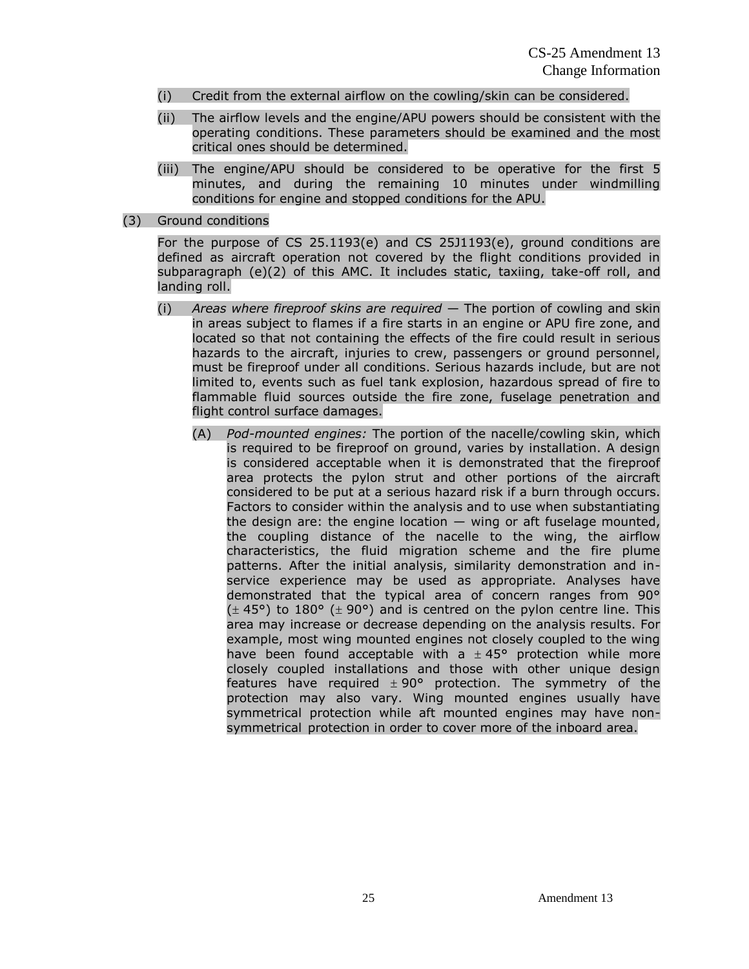- (i) Credit from the external airflow on the cowling/skin can be considered.
- (ii) The airflow levels and the engine/APU powers should be consistent with the operating conditions. These parameters should be examined and the most critical ones should be determined.
- (iii) The engine/APU should be considered to be operative for the first 5 minutes, and during the remaining 10 minutes under windmilling conditions for engine and stopped conditions for the APU.
- (3) Ground conditions

For the purpose of CS 25.1193(e) and CS 25J1193(e), ground conditions are defined as aircraft operation not covered by the flight conditions provided in subparagraph (e)(2) of this AMC. It includes static, taxiing, take-off roll, and landing roll.

- (i) *Areas where fireproof skins are required* The portion of cowling and skin in areas subject to flames if a fire starts in an engine or APU fire zone, and located so that not containing the effects of the fire could result in serious hazards to the aircraft, injuries to crew, passengers or ground personnel, must be fireproof under all conditions. Serious hazards include, but are not limited to, events such as fuel tank explosion, hazardous spread of fire to flammable fluid sources outside the fire zone, fuselage penetration and flight control surface damages.
	- (A) *Pod-mounted engines:* The portion of the nacelle/cowling skin, which is required to be fireproof on ground, varies by installation. A design is considered acceptable when it is demonstrated that the fireproof area protects the pylon strut and other portions of the aircraft considered to be put at a serious hazard risk if a burn through occurs. Factors to consider within the analysis and to use when substantiating the design are: the engine location  $-$  wing or aft fuselage mounted, the coupling distance of the nacelle to the wing, the airflow characteristics, the fluid migration scheme and the fire plume patterns. After the initial analysis, similarity demonstration and inservice experience may be used as appropriate. Analyses have demonstrated that the typical area of concern ranges from 90°  $(\pm 45^{\circ})$  to 180° ( $\pm 90^{\circ}$ ) and is centred on the pylon centre line. This area may increase or decrease depending on the analysis results. For example, most wing mounted engines not closely coupled to the wing have been found acceptable with a  $\pm$  45° protection while more closely coupled installations and those with other unique design features have required  $\pm 90^{\circ}$  protection. The symmetry of the protection may also vary. Wing mounted engines usually have symmetrical protection while aft mounted engines may have nonsymmetrical protection in order to cover more of the inboard area.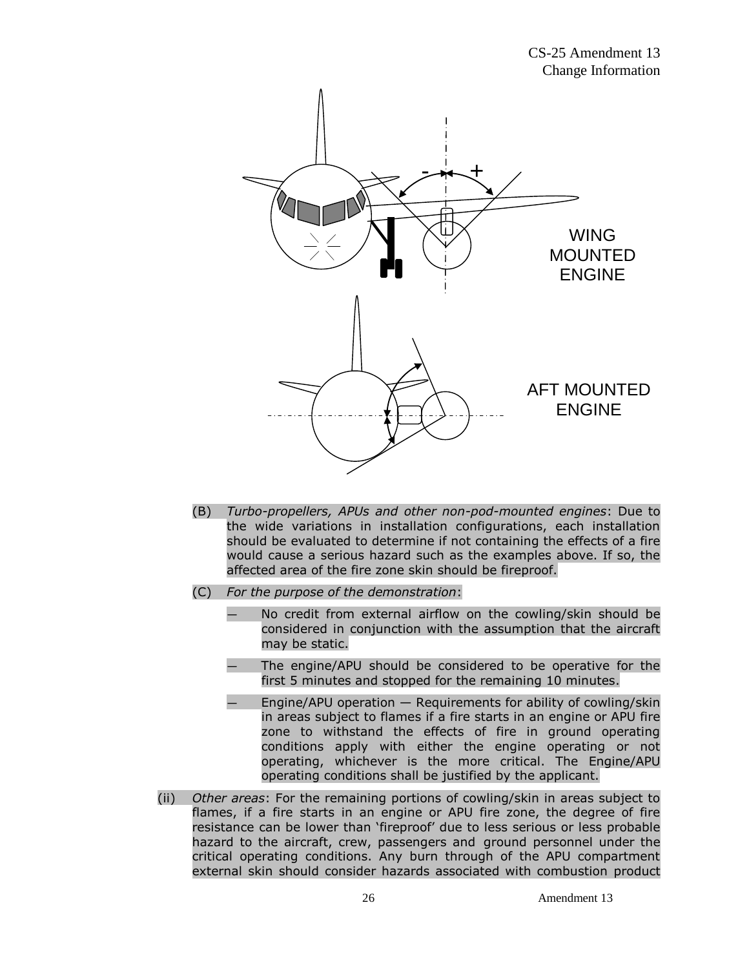

- (B) *Turbo-propellers, APUs and other non-pod-mounted engines*: Due to the wide variations in installation configurations, each installation should be evaluated to determine if not containing the effects of a fire would cause a serious hazard such as the examples above. If so, the affected area of the fire zone skin should be fireproof.
- (C) *For the purpose of the demonstration*:
	- No credit from external airflow on the cowling/skin should be considered in conjunction with the assumption that the aircraft may be static.
	- The engine/APU should be considered to be operative for the first 5 minutes and stopped for the remaining 10 minutes.
	- Engine/APU operation  $-$  Requirements for ability of cowling/skin in areas subject to flames if a fire starts in an engine or APU fire zone to withstand the effects of fire in ground operating conditions apply with either the engine operating or not operating, whichever is the more critical. The Engine/APU operating conditions shall be justified by the applicant.
- (ii) *Other areas*: For the remaining portions of cowling/skin in areas subject to flames, if a fire starts in an engine or APU fire zone, the degree of fire resistance can be lower than 'fireproof' due to less serious or less probable hazard to the aircraft, crew, passengers and ground personnel under the critical operating conditions. Any burn through of the APU compartment external skin should consider hazards associated with combustion product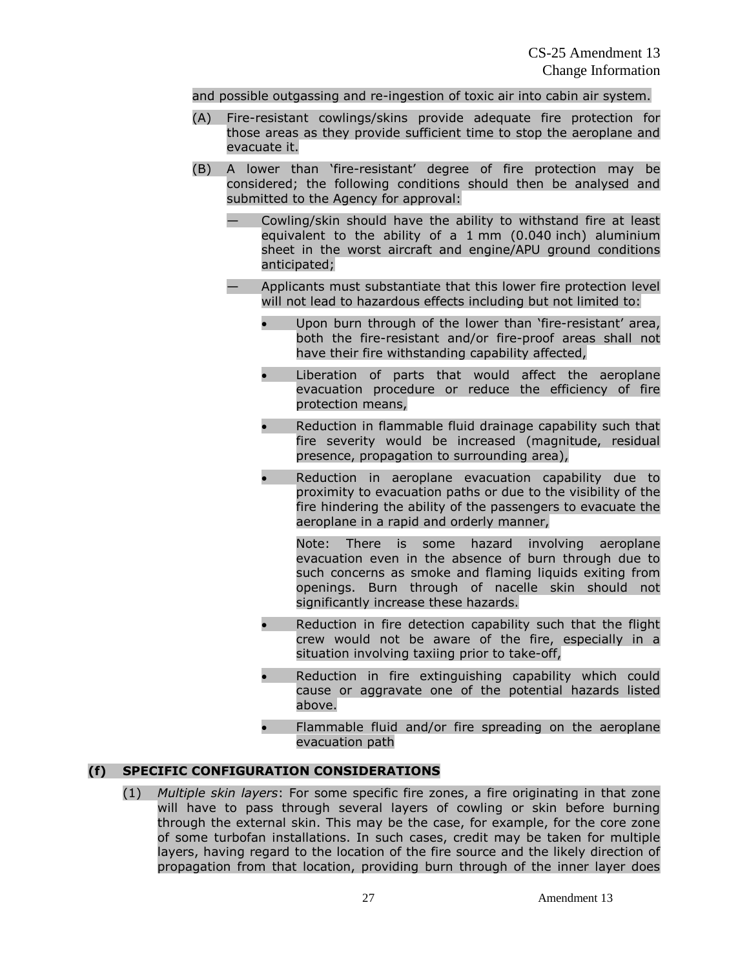#### and possible outgassing and re-ingestion of toxic air into cabin air system.

- (A) Fire-resistant cowlings/skins provide adequate fire protection for those areas as they provide sufficient time to stop the aeroplane and evacuate it.
- (B) A lower than 'fire-resistant' degree of fire protection may be considered; the following conditions should then be analysed and submitted to the Agency for approval:
	- Cowling/skin should have the ability to withstand fire at least equivalent to the ability of a 1 mm (0.040 inch) aluminium sheet in the worst aircraft and engine/APU ground conditions anticipated;
	- Applicants must substantiate that this lower fire protection level will not lead to hazardous effects including but not limited to:
		- Upon burn through of the lower than 'fire-resistant' area, both the fire-resistant and/or fire-proof areas shall not have their fire withstanding capability affected,
		- Liberation of parts that would affect the aeroplane evacuation procedure or reduce the efficiency of fire protection means,
		- Reduction in flammable fluid drainage capability such that fire severity would be increased (magnitude, residual presence, propagation to surrounding area),
		- Reduction in aeroplane evacuation capability due to proximity to evacuation paths or due to the visibility of the fire hindering the ability of the passengers to evacuate the aeroplane in a rapid and orderly manner,

Note: There is some hazard involving aeroplane evacuation even in the absence of burn through due to such concerns as smoke and flaming liquids exiting from openings. Burn through of nacelle skin should not significantly increase these hazards.

- Reduction in fire detection capability such that the flight crew would not be aware of the fire, especially in a situation involving taxiing prior to take-off,
- Reduction in fire extinguishing capability which could cause or aggravate one of the potential hazards listed above.
- Flammable fluid and/or fire spreading on the aeroplane evacuation path

## **(f) SPECIFIC CONFIGURATION CONSIDERATIONS**

(1) *Multiple skin layers*: For some specific fire zones, a fire originating in that zone will have to pass through several layers of cowling or skin before burning through the external skin. This may be the case, for example, for the core zone of some turbofan installations. In such cases, credit may be taken for multiple layers, having regard to the location of the fire source and the likely direction of propagation from that location, providing burn through of the inner layer does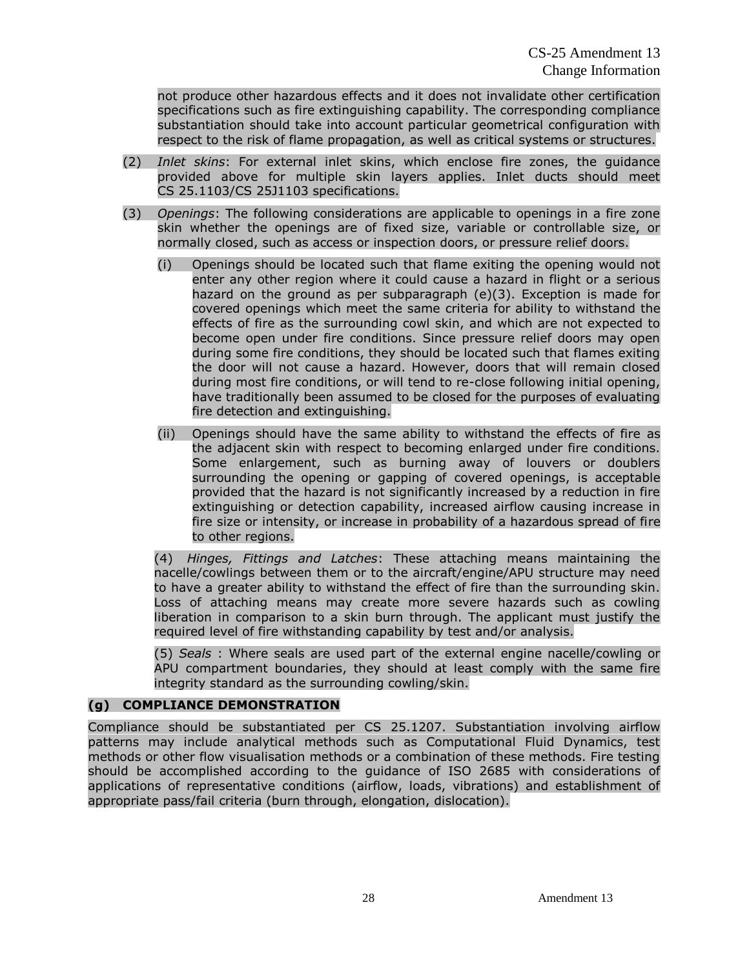not produce other hazardous effects and it does not invalidate other certification specifications such as fire extinguishing capability. The corresponding compliance substantiation should take into account particular geometrical configuration with respect to the risk of flame propagation, as well as critical systems or structures.

- (2) *Inlet skins*: For external inlet skins, which enclose fire zones, the guidance provided above for multiple skin layers applies. Inlet ducts should meet CS 25.1103/CS 25J1103 specifications.
- (3) *Openings*: The following considerations are applicable to openings in a fire zone skin whether the openings are of fixed size, variable or controllable size, or normally closed, such as access or inspection doors, or pressure relief doors.
	- (i) Openings should be located such that flame exiting the opening would not enter any other region where it could cause a hazard in flight or a serious hazard on the ground as per subparagraph (e)(3). Exception is made for covered openings which meet the same criteria for ability to withstand the effects of fire as the surrounding cowl skin, and which are not expected to become open under fire conditions. Since pressure relief doors may open during some fire conditions, they should be located such that flames exiting the door will not cause a hazard. However, doors that will remain closed during most fire conditions, or will tend to re-close following initial opening, have traditionally been assumed to be closed for the purposes of evaluating fire detection and extinguishing.
	- (ii) Openings should have the same ability to withstand the effects of fire as the adjacent skin with respect to becoming enlarged under fire conditions. Some enlargement, such as burning away of louvers or doublers surrounding the opening or gapping of covered openings, is acceptable provided that the hazard is not significantly increased by a reduction in fire extinguishing or detection capability, increased airflow causing increase in fire size or intensity, or increase in probability of a hazardous spread of fire to other regions.

(4) *Hinges, Fittings and Latches*: These attaching means maintaining the nacelle/cowlings between them or to the aircraft/engine/APU structure may need to have a greater ability to withstand the effect of fire than the surrounding skin. Loss of attaching means may create more severe hazards such as cowling liberation in comparison to a skin burn through. The applicant must justify the required level of fire withstanding capability by test and/or analysis.

(5) *Seals* : Where seals are used part of the external engine nacelle/cowling or APU compartment boundaries, they should at least comply with the same fire integrity standard as the surrounding cowling/skin.

## **(g) COMPLIANCE DEMONSTRATION**

Compliance should be substantiated per CS 25.1207. Substantiation involving airflow patterns may include analytical methods such as Computational Fluid Dynamics, test methods or other flow visualisation methods or a combination of these methods. Fire testing should be accomplished according to the guidance of ISO 2685 with considerations of applications of representative conditions (airflow, loads, vibrations) and establishment of appropriate pass/fail criteria (burn through, elongation, dislocation).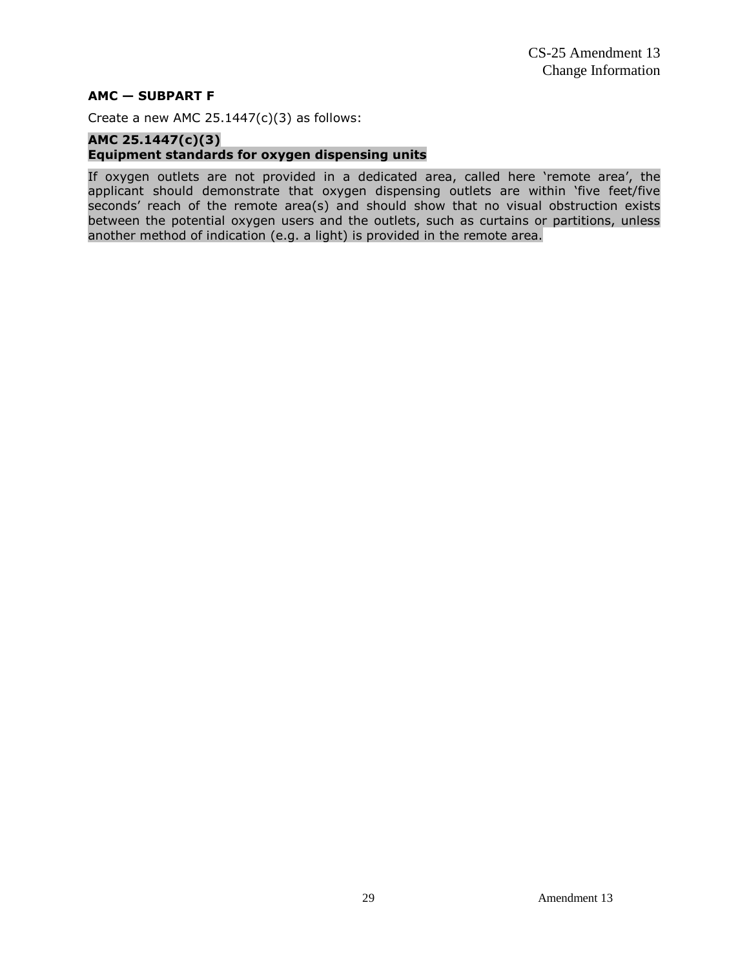#### **AMC — SUBPART F**

Create a new AMC  $25.1447(c)(3)$  as follows:

#### **AMC 25.1447(c)(3) Equipment standards for oxygen dispensing units**

If oxygen outlets are not provided in a dedicated area, called here 'remote area', the applicant should demonstrate that oxygen dispensing outlets are within 'five feet/five seconds' reach of the remote area(s) and should show that no visual obstruction exists between the potential oxygen users and the outlets, such as curtains or partitions, unless another method of indication (e.g. a light) is provided in the remote area.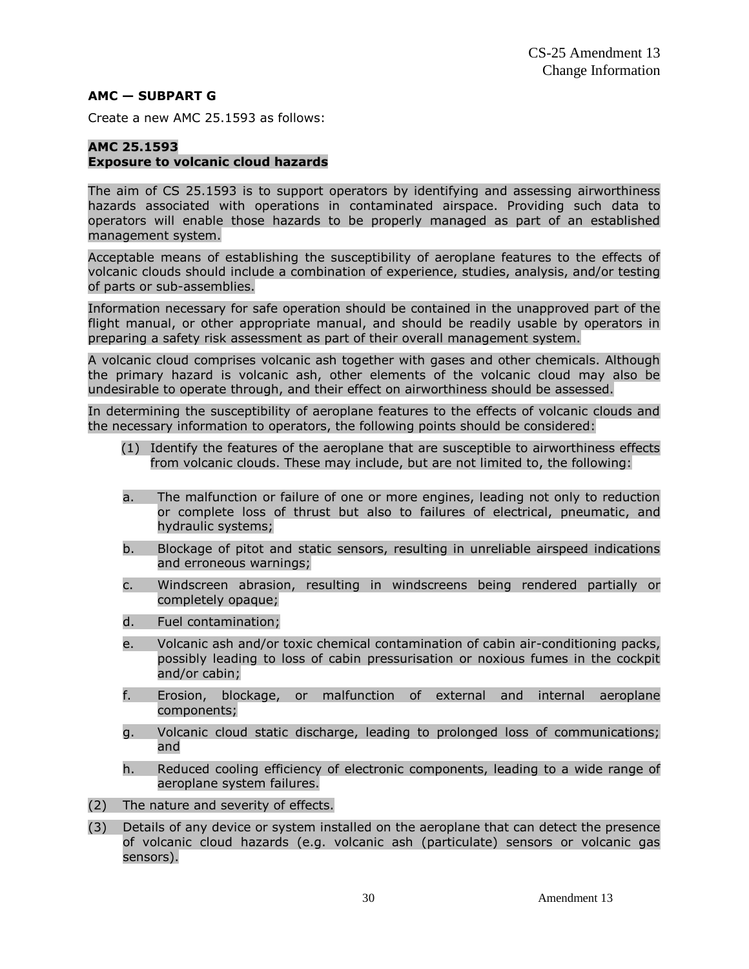#### **AMC — SUBPART G**

Create a new AMC 25.1593 as follows:

#### **AMC 25.1593 Exposure to volcanic cloud hazards**

The aim of CS 25.1593 is to support operators by identifying and assessing airworthiness hazards associated with operations in contaminated airspace. Providing such data to operators will enable those hazards to be properly managed as part of an established management system.

Acceptable means of establishing the susceptibility of aeroplane features to the effects of volcanic clouds should include a combination of experience, studies, analysis, and/or testing of parts or sub-assemblies.

Information necessary for safe operation should be contained in the unapproved part of the flight manual, or other appropriate manual, and should be readily usable by operators in preparing a safety risk assessment as part of their overall management system.

A volcanic cloud comprises volcanic ash together with gases and other chemicals. Although the primary hazard is volcanic ash, other elements of the volcanic cloud may also be undesirable to operate through, and their effect on airworthiness should be assessed.

In determining the susceptibility of aeroplane features to the effects of volcanic clouds and the necessary information to operators, the following points should be considered:

- (1) Identify the features of the aeroplane that are susceptible to airworthiness effects from volcanic clouds. These may include, but are not limited to, the following:
- a. The malfunction or failure of one or more engines, leading not only to reduction or complete loss of thrust but also to failures of electrical, pneumatic, and hydraulic systems;
- b. Blockage of pitot and static sensors, resulting in unreliable airspeed indications and erroneous warnings;
- c. Windscreen abrasion, resulting in windscreens being rendered partially or completely opaque;
- d. Fuel contamination;
- e. Volcanic ash and/or toxic chemical contamination of cabin air-conditioning packs, possibly leading to loss of cabin pressurisation or noxious fumes in the cockpit and/or cabin;
- f. Erosion, blockage, or malfunction of external and internal aeroplane components;
- g. Volcanic cloud static discharge, leading to prolonged loss of communications; and
- h. Reduced cooling efficiency of electronic components, leading to a wide range of aeroplane system failures.
- (2) The nature and severity of effects.
- (3) Details of any device or system installed on the aeroplane that can detect the presence of volcanic cloud hazards (e.g. volcanic ash (particulate) sensors or volcanic gas sensors).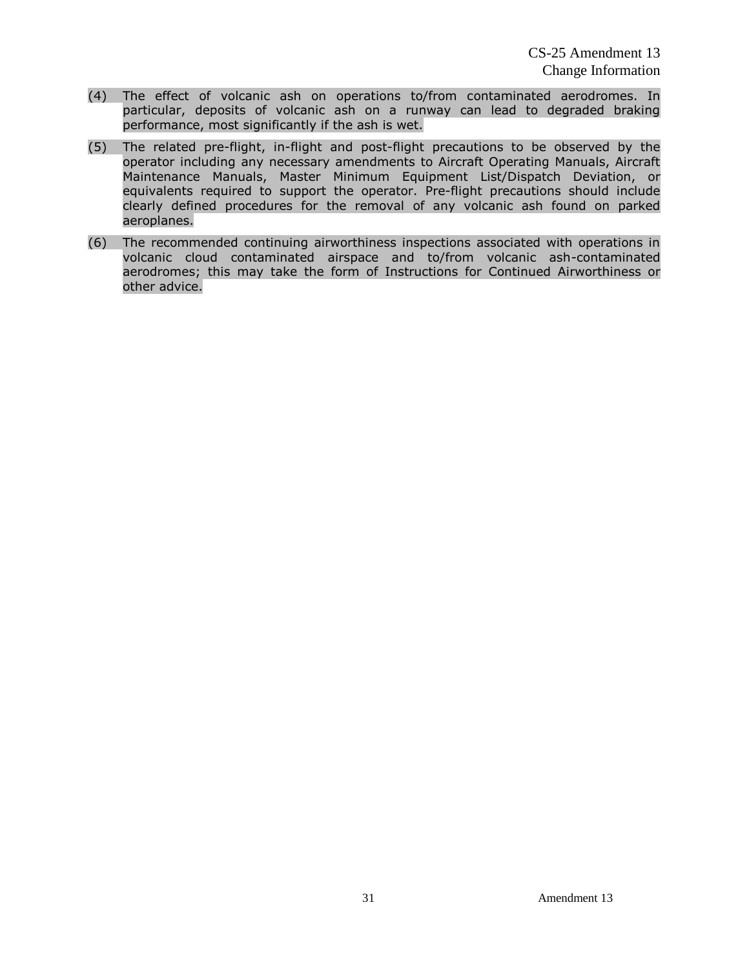- (4) The effect of volcanic ash on operations to/from contaminated aerodromes. In particular, deposits of volcanic ash on a runway can lead to degraded braking performance, most significantly if the ash is wet.
- (5) The related pre-flight, in-flight and post-flight precautions to be observed by the operator including any necessary amendments to Aircraft Operating Manuals, Aircraft Maintenance Manuals, Master Minimum Equipment List/Dispatch Deviation, or equivalents required to support the operator. Pre-flight precautions should include clearly defined procedures for the removal of any volcanic ash found on parked aeroplanes.
- (6) The recommended continuing airworthiness inspections associated with operations in volcanic cloud contaminated airspace and to/from volcanic ash-contaminated aerodromes; this may take the form of Instructions for Continued Airworthiness or other advice.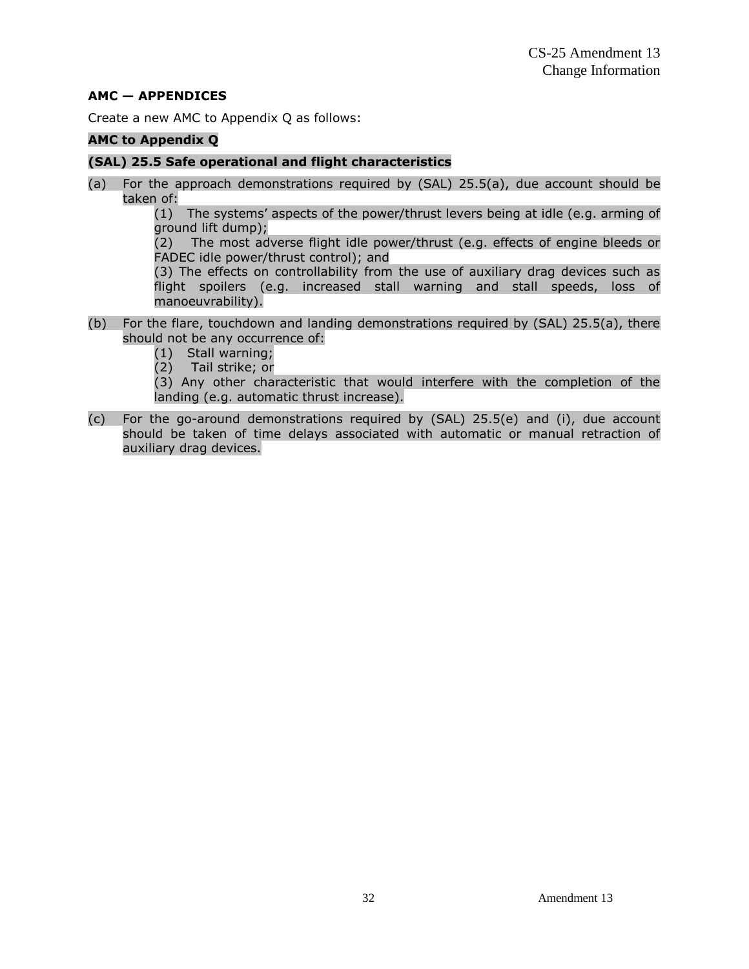#### **AMC — APPENDICES**

Create a new AMC to Appendix Q as follows:

#### **AMC to Appendix Q**

#### **(SAL) 25.5 Safe operational and flight characteristics**

(a) For the approach demonstrations required by (SAL) 25.5(a), due account should be taken of:

(1) The systems' aspects of the power/thrust levers being at idle (e.g. arming of ground lift dump);

(2) The most adverse flight idle power/thrust (e.g. effects of engine bleeds or FADEC idle power/thrust control); and

(3) The effects on controllability from the use of auxiliary drag devices such as flight spoilers (e.g. increased stall warning and stall speeds, loss of manoeuvrability).

- (b) For the flare, touchdown and landing demonstrations required by (SAL) 25.5(a), there should not be any occurrence of:
	- (1) Stall warning;
	- (2) Tail strike; or

(3) Any other characteristic that would interfere with the completion of the landing (e.g. automatic thrust increase).

(c) For the go-around demonstrations required by (SAL) 25.5(e) and (i), due account should be taken of time delays associated with automatic or manual retraction of auxiliary drag devices.